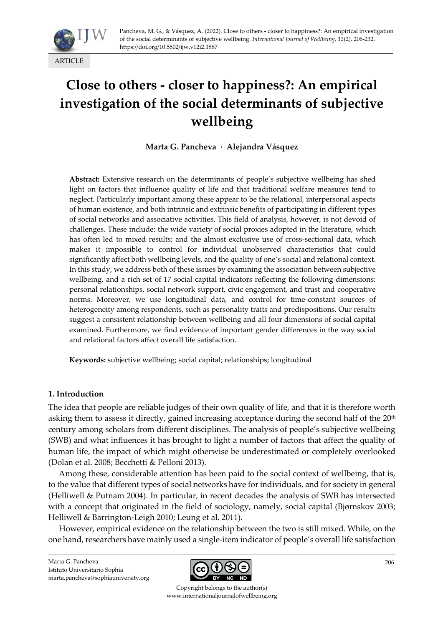

# **Close to others - closer to happiness?: An empirical investigation of the social determinants of subjective wellbeing**

**Marta G. Pancheva · Alejandra Vásquez**

**Abstract:** Extensive research on the determinants of people's subjective wellbeing has shed light on factors that influence quality of life and that traditional welfare measures tend to neglect. Particularly important among these appear to be the relational, interpersonal aspects of human existence, and both intrinsic and extrinsic benefits of participating in different types of social networks and associative activities. This field of analysis, however, is not devoid of challenges. These include: the wide variety of social proxies adopted in the literature, which has often led to mixed results; and the almost exclusive use of cross-sectional data, which makes it impossible to control for individual unobserved characteristics that could significantly affect both wellbeing levels, and the quality of one's social and relational context. In this study, we address both of these issues by examining the association between subjective wellbeing, and a rich set of 17 social capital indicators reflecting the following dimensions: personal relationships, social network support, civic engagement, and trust and cooperative norms. Moreover, we use longitudinal data, and control for time-constant sources of heterogeneity among respondents, such as personality traits and predispositions. Our results suggest a consistent relationship between wellbeing and all four dimensions of social capital examined. Furthermore, we find evidence of important gender differences in the way social and relational factors affect overall life satisfaction.

**Keywords:** subjective wellbeing; social capital; relationships; longitudinal

# **1. Introduction**

The idea that people are reliable judges of their own quality of life, and that it is therefore worth asking them to assess it directly, gained increasing acceptance during the second half of the 20<sup>th</sup> century among scholars from different disciplines. The analysis of people's subjective wellbeing (SWB) and what influences it has brought to light a number of factors that affect the quality of human life, the impact of which might otherwise be underestimated or completely overlooked (Dolan et al. 2008; Becchetti & Pelloni 2013).

Among these, considerable attention has been paid to the social context of wellbeing, that is, to the value that different types of social networks have for individuals, and for society in general (Helliwell & Putnam 2004). In particular, in recent decades the analysis of SWB has intersected with a concept that originated in the field of sociology, namely, social capital (Bjørnskov 2003; Helliwell & Barrington-Leigh 2010; Leung et al. 2011).

However, empirical evidence on the relationship between the two is still mixed. While, on the one hand, researchers have mainly used a single-item indicator of people's overall life satisfaction



Copyright belongs to the author(s) www.internationaljournalofwellbeing.org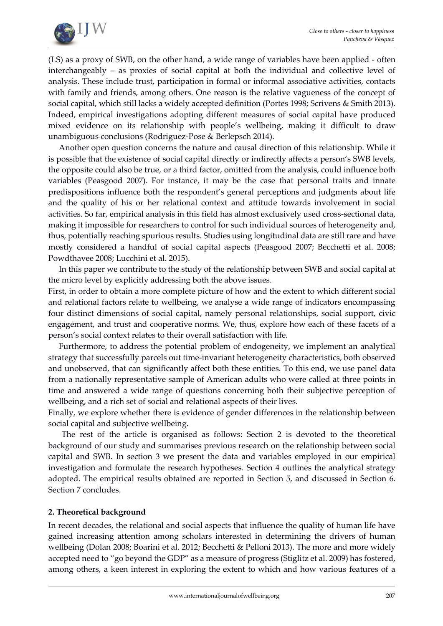

(LS) as a proxy of SWB, on the other hand, a wide range of variables have been applied - often interchangeably – as proxies of social capital at both the individual and collective level of analysis. These include trust, participation in formal or informal associative activities, contacts with family and friends, among others. One reason is the relative vagueness of the concept of social capital, which still lacks a widely accepted definition (Portes 1998; Scrivens & Smith 2013). Indeed, empirical investigations adopting different measures of social capital have produced mixed evidence on its relationship with people's wellbeing, making it difficult to draw unambiguous conclusions (Rodriguez-Pose & Berlepsch 2014).

Another open question concerns the nature and causal direction of this relationship. While it is possible that the existence of social capital directly or indirectly affects a person's SWB levels, the opposite could also be true, or a third factor, omitted from the analysis, could influence both variables (Peasgood 2007). For instance, it may be the case that personal traits and innate predispositions influence both the respondent's general perceptions and judgments about life and the quality of his or her relational context and attitude towards involvement in social activities. So far, empirical analysis in this field has almost exclusively used cross-sectional data, making it impossible for researchers to control for such individual sources of heterogeneity and, thus, potentially reaching spurious results. Studies using longitudinal data are still rare and have mostly considered a handful of social capital aspects (Peasgood 2007; Becchetti et al. 2008; Powdthavee 2008; Lucchini et al. 2015).

In this paper we contribute to the study of the relationship between SWB and social capital at the micro level by explicitly addressing both the above issues.

First, in order to obtain a more complete picture of how and the extent to which different social and relational factors relate to wellbeing, we analyse a wide range of indicators encompassing four distinct dimensions of social capital, namely personal relationships, social support, civic engagement, and trust and cooperative norms. We, thus, explore how each of these facets of a person's social context relates to their overall satisfaction with life.

Furthermore, to address the potential problem of endogeneity, we implement an analytical strategy that successfully parcels out time-invariant heterogeneity characteristics, both observed and unobserved, that can significantly affect both these entities. To this end, we use panel data from a nationally representative sample of American adults who were called at three points in time and answered a wide range of questions concerning both their subjective perception of wellbeing, and a rich set of social and relational aspects of their lives.

Finally, we explore whether there is evidence of gender differences in the relationship between social capital and subjective wellbeing.

The rest of the article is organised as follows: Section 2 is devoted to the theoretical background of our study and summarises previous research on the relationship between social capital and SWB. In section 3 we present the data and variables employed in our empirical investigation and formulate the research hypotheses. Section 4 outlines the analytical strategy adopted. The empirical results obtained are reported in Section 5, and discussed in Section 6. Section 7 concludes.

# **2. Theoretical background**

In recent decades, the relational and social aspects that influence the quality of human life have gained increasing attention among scholars interested in determining the drivers of human wellbeing (Dolan 2008; Boarini et al. 2012; Becchetti & Pelloni 2013). The more and more widely accepted need to "go beyond the GDP" as a measure of progress (Stiglitz et al. 2009) has fostered, among others, a keen interest in exploring the extent to which and how various features of a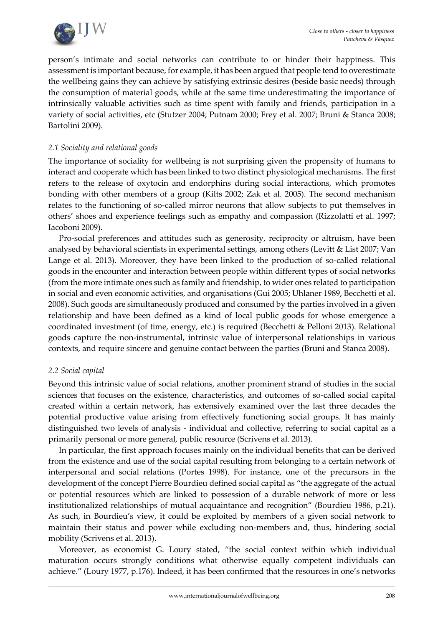

person's intimate and social networks can contribute to or hinder their happiness. This assessment is important because, for example, it has been argued that people tend to overestimate the wellbeing gains they can achieve by satisfying extrinsic desires (beside basic needs) through the consumption of material goods, while at the same time underestimating the importance of intrinsically valuable activities such as time spent with family and friends, participation in a variety of social activities, etc (Stutzer 2004; Putnam 2000; Frey et al. 2007; Bruni & Stanca 2008; Bartolini 2009).

## *2.1 Sociality and relational goods*

The importance of sociality for wellbeing is not surprising given the propensity of humans to interact and cooperate which has been linked to two distinct physiological mechanisms. The first refers to the release of oxytocin and endorphins during social interactions, which promotes bonding with other members of a group (Kilts 2002; Zak et al. 2005). The second mechanism relates to the functioning of so-called mirror neurons that allow subjects to put themselves in others' shoes and experience feelings such as empathy and compassion (Rizzolatti et al. 1997; Iacoboni 2009).

Pro-social preferences and attitudes such as generosity, reciprocity or altruism, have been analysed by behavioral scientists in experimental settings, among others (Levitt & List 2007; Van Lange et al. 2013). Moreover, they have been linked to the production of so-called relational goods in the encounter and interaction between people within different types of social networks (from the more intimate ones such as family and friendship, to wider ones related to participation in social and even economic activities, and organisations (Gui 2005; Uhlaner 1989, Becchetti et al. 2008). Such goods are simultaneously produced and consumed by the parties involved in a given relationship and have been defined as a kind of local public goods for whose emergence a coordinated investment (of time, energy, etc.) is required (Becchetti & Pelloni 2013). Relational goods capture the non-instrumental, intrinsic value of interpersonal relationships in various contexts, and require sincere and genuine contact between the parties (Bruni and Stanca 2008).

### *2.2 Social capital*

Beyond this intrinsic value of social relations, another prominent strand of studies in the social sciences that focuses on the existence, characteristics, and outcomes of so-called social capital created within a certain network, has extensively examined over the last three decades the potential productive value arising from effectively functioning social groups. It has mainly distinguished two levels of analysis - individual and collective, referring to social capital as a primarily personal or more general, public resource (Scrivens et al. 2013).

In particular, the first approach focuses mainly on the individual benefits that can be derived from the existence and use of the social capital resulting from belonging to a certain network of interpersonal and social relations (Portes 1998). For instance, one of the precursors in the development of the concept Pierre Bourdieu defined social capital as "the aggregate of the actual or potential resources which are linked to possession of a durable network of more or less institutionalized relationships of mutual acquaintance and recognition" (Bourdieu 1986, p.21). As such, in Bourdieu's view, it could be exploited by members of a given social network to maintain their status and power while excluding non-members and, thus, hindering social mobility (Scrivens et al. 2013).

Moreover, as economist G. Loury stated, "the social context within which individual maturation occurs strongly conditions what otherwise equally competent individuals can achieve." (Loury 1977, p.176). Indeed, it has been confirmed that the resources in one's networks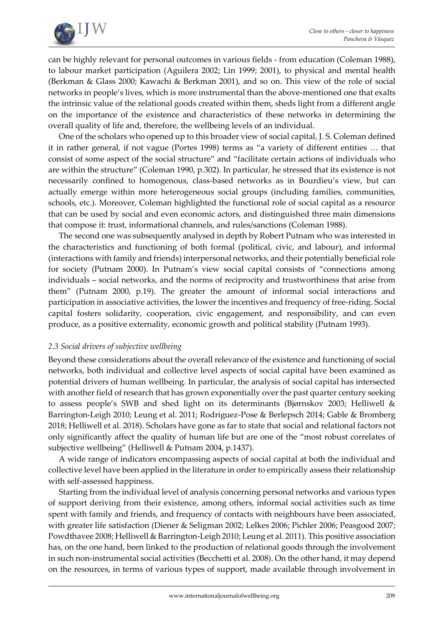

can be highly relevant for personal outcomes in various fields - from education (Coleman 1988), to labour market participation (Aguilera 2002; Lin 1999; 2001), to physical and mental health (Berkman & Glass 2000; Kawachi & Berkman 2001), and so on. This view of the role of social networks in people's lives, which is more instrumental than the above-mentioned one that exalts the intrinsic value of the relational goods created within them, sheds light from a different angle on the importance of the existence and characteristics of these networks in determining the overall quality of life and, therefore, the wellbeing levels of an individual.

One of the scholars who opened up to this broader view of social capital, J. S. Coleman defined it in rather general, if not vague (Portes 1998) terms as "a variety of different entities … that consist of some aspect of the social structure" and "facilitate certain actions of individuals who are within the structure" (Coleman 1990, p.302). In particular, he stressed that its existence is not necessarily confined to homogenous, class-based networks as in Bourdieu's view, but can actually emerge within more heterogeneous social groups (including families, communities, schools, etc.). Moreover, Coleman highlighted the functional role of social capital as a resource that can be used by social and even economic actors, and distinguished three main dimensions that compose it: trust, informational channels, and rules/sanctions (Coleman 1988).

The second one was subsequently analysed in depth by Robert Putnam who was interested in the characteristics and functioning of both formal (political, civic, and labour), and informal (interactions with family and friends) interpersonal networks, and their potentially beneficial role for society (Putnam 2000). In Putnam's view social capital consists of "connections among individuals – social networks, and the norms of reciprocity and trustworthiness that arise from them" (Putnam 2000, p.19). The greater the amount of informal social interactions and participation in associative activities, the lower the incentives and frequency of free-riding. Social capital fosters solidarity, cooperation, civic engagement, and responsibility, and can even produce, as a positive externality, economic growth and political stability (Putnam 1993).

### *2.3 Social drivers of subjective wellbeing*

Beyond these considerations about the overall relevance of the existence and functioning of social networks, both individual and collective level aspects of social capital have been examined as potential drivers of human wellbeing. In particular, the analysis of social capital has intersected with another field of research that has grown exponentially over the past quarter century seeking to assess people's SWB and shed light on its determinants (Bjørnskov 2003; Helliwell & Barrington-Leigh 2010; Leung et al. 2011; Rodriguez-Pose & Berlepsch 2014; Gable & Bromberg 2018; Helliwell et al. 2018). Scholars have gone as far to state that social and relational factors not only significantly affect the quality of human life but are one of the "most robust correlates of subjective wellbeing" (Helliwell & Putnam 2004, p.1437).

A wide range of indicators encompassing aspects of social capital at both the individual and collective level have been applied in the literature in order to empirically assess their relationship with self-assessed happiness.

Starting from the individual level of analysis concerning personal networks and various types of support deriving from their existence, among others, informal social activities such as time spent with family and friends, and frequency of contacts with neighbours have been associated, with greater life satisfaction (Diener & Seligman 2002; Lelkes 2006; Pichler 2006; Peasgood 2007; Powdthavee 2008; Helliwell & Barrington-Leigh 2010; Leung et al. 2011). This positive association has, on the one hand, been linked to the production of relational goods through the involvement in such non-instrumental social activities (Becchetti et al. 2008). On the other hand, it may depend on the resources, in terms of various types of support, made available through involvement in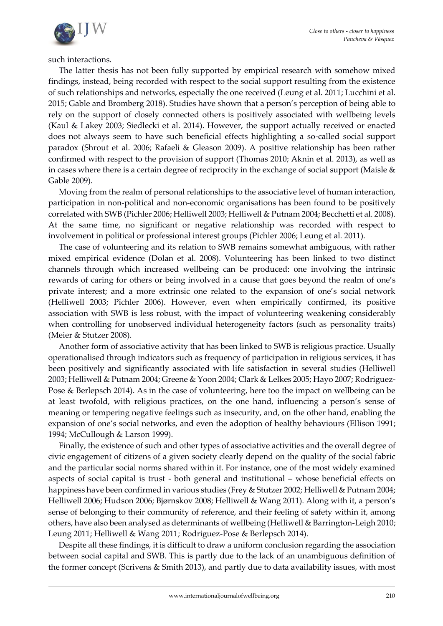

such interactions.

The latter thesis has not been fully supported by empirical research with somehow mixed findings, instead, being recorded with respect to the social support resulting from the existence of such relationships and networks, especially the one received (Leung et al. 2011; Lucchini et al. 2015; Gable and Bromberg 2018). Studies have shown that a person's perception of being able to rely on the support of closely connected others is positively associated with wellbeing levels (Kaul & Lakey 2003; Siedlecki et al. 2014). However, the support actually received or enacted does not always seem to have such beneficial effects highlighting a so-called social support paradox (Shrout et al. 2006; Rafaeli & Gleason 2009). A positive relationship has been rather confirmed with respect to the provision of support (Thomas 2010; Aknin et al. 2013), as well as in cases where there is a certain degree of reciprocity in the exchange of social support (Maisle & Gable 2009).

Moving from the realm of personal relationships to the associative level of human interaction, participation in non-political and non-economic organisations has been found to be positively correlated with SWB (Pichler 2006; Helliwell 2003; Helliwell & Putnam 2004; Becchetti et al. 2008). At the same time, no significant or negative relationship was recorded with respect to involvement in political or professional interest groups (Pichler 2006; Leung et al. 2011).

The case of volunteering and its relation to SWB remains somewhat ambiguous, with rather mixed empirical evidence (Dolan et al. 2008). Volunteering has been linked to two distinct channels through which increased wellbeing can be produced: one involving the intrinsic rewards of caring for others or being involved in a cause that goes beyond the realm of one's private interest; and a more extrinsic one related to the expansion of one's social network (Helliwell 2003; Pichler 2006). However, even when empirically confirmed, its positive association with SWB is less robust, with the impact of volunteering weakening considerably when controlling for unobserved individual heterogeneity factors (such as personality traits) (Meier & Stutzer 2008).

Another form of associative activity that has been linked to SWB is religious practice. Usually operationalised through indicators such as frequency of participation in religious services, it has been positively and significantly associated with life satisfaction in several studies (Helliwell 2003; Helliwell & Putnam 2004; Greene & Yoon 2004; Clark & Lelkes 2005; Hayo 2007; Rodriguez-Pose & Berlepsch 2014). As in the case of volunteering, here too the impact on wellbeing can be at least twofold, with religious practices, on the one hand, influencing a person's sense of meaning or tempering negative feelings such as insecurity, and, on the other hand, enabling the expansion of one's social networks, and even the adoption of healthy behaviours (Ellison 1991; 1994; McCullough & Larson 1999).

Finally, the existence of such and other types of associative activities and the overall degree of civic engagement of citizens of a given society clearly depend on the quality of the social fabric and the particular social norms shared within it. For instance, one of the most widely examined aspects of social capital is trust - both general and institutional – whose beneficial effects on happiness have been confirmed in various studies (Frey & Stutzer 2002; Helliwell & Putnam 2004; Helliwell 2006; Hudson 2006; Bjørnskov 2008; Helliwell & Wang 2011). Along with it, a person's sense of belonging to their community of reference, and their feeling of safety within it, among others, have also been analysed as determinants of wellbeing (Helliwell & Barrington-Leigh 2010; Leung 2011; Helliwell & Wang 2011; Rodriguez-Pose & Berlepsch 2014).

Despite all these findings, it is difficult to draw a uniform conclusion regarding the association between social capital and SWB. This is partly due to the lack of an unambiguous definition of the former concept (Scrivens & Smith 2013), and partly due to data availability issues, with most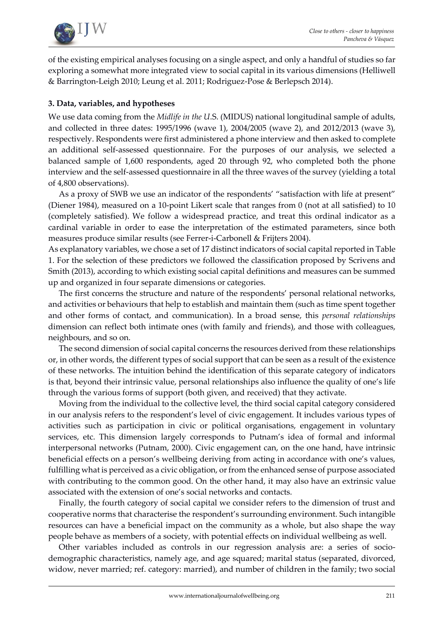

of the existing empirical analyses focusing on a single aspect, and only a handful of studies so far exploring a somewhat more integrated view to social capital in its various dimensions (Helliwell & Barrington-Leigh 2010; Leung et al. 2011; Rodriguez-Pose & Berlepsch 2014).

# **3. Data, variables, and hypotheses**

We use data coming from the *Midlife in the U*.S. (MIDUS) national longitudinal sample of adults, and collected in three dates: 1995/1996 (wave 1), 2004/2005 (wave 2), and 2012/2013 (wave 3), respectively. Respondents were first administered a phone interview and then asked to complete an additional self-assessed questionnaire. For the purposes of our analysis, we selected a balanced sample of 1,600 respondents, aged 20 through 92, who completed both the phone interview and the self-assessed questionnaire in all the three waves of the survey (yielding a total of 4,800 observations).

As a proxy of SWB we use an indicator of the respondents' "satisfaction with life at present" (Diener 1984), measured on a 10-point Likert scale that ranges from 0 (not at all satisfied) to 10 (completely satisfied). We follow a widespread practice, and treat this ordinal indicator as a cardinal variable in order to ease the interpretation of the estimated parameters, since both measures produce similar results (see Ferrer-i-Carbonell & Frijters 2004).

As explanatory variables, we chose a set of 17 distinct indicators of social capital reported in Table 1. For the selection of these predictors we followed the classification proposed by Scrivens and Smith (2013), according to which existing social capital definitions and measures can be summed up and organized in four separate dimensions or categories.

The first concerns the structure and nature of the respondents' personal relational networks, and activities or behaviours that help to establish and maintain them (such as time spent together and other forms of contact, and communication). In a broad sense, this *personal relationships* dimension can reflect both intimate ones (with family and friends), and those with colleagues, neighbours, and so on.

The second dimension of social capital concerns the resources derived from these relationships or, in other words, the different types of social support that can be seen as a result of the existence of these networks. The intuition behind the identification of this separate category of indicators is that, beyond their intrinsic value, personal relationships also influence the quality of one's life through the various forms of support (both given, and received) that they activate.

Moving from the individual to the collective level, the third social capital category considered in our analysis refers to the respondent's level of civic engagement. It includes various types of activities such as participation in civic or political organisations, engagement in voluntary services, etc. This dimension largely corresponds to Putnam's idea of formal and informal interpersonal networks (Putnam, 2000). Civic engagement can, on the one hand, have intrinsic beneficial effects on a person's wellbeing deriving from acting in accordance with one's values, fulfilling what is perceived as a civic obligation, or from the enhanced sense of purpose associated with contributing to the common good. On the other hand, it may also have an extrinsic value associated with the extension of one's social networks and contacts.

Finally, the fourth category of social capital we consider refers to the dimension of trust and cooperative norms that characterise the respondent's surrounding environment. Such intangible resources can have a beneficial impact on the community as a whole, but also shape the way people behave as members of a society, with potential effects on individual wellbeing as well.

Other variables included as controls in our regression analysis are: a series of sociodemographic characteristics, namely age, and age squared; marital status (separated, divorced, widow, never married; ref. category: married), and number of children in the family; two social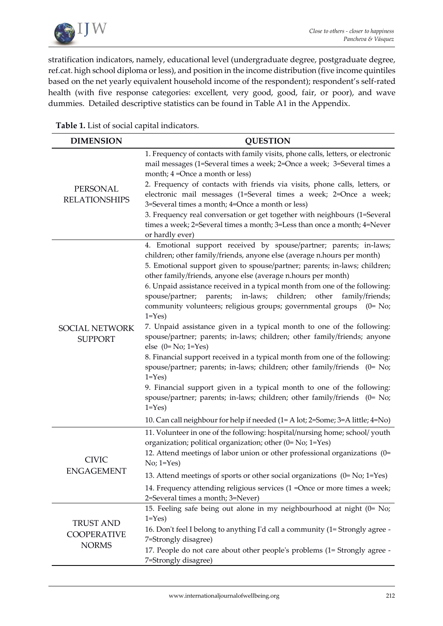

stratification indicators, namely, educational level (undergraduate degree, postgraduate degree, ref.cat. high school diploma or less), and position in the income distribution (five income quintiles based on the net yearly equivalent household income of the respondent); respondent's self-rated health (with five response categories: excellent, very good, good, fair, or poor), and wave dummies. Detailed descriptive statistics can be found in Table A1 in the Appendix.

**Table 1.** List of social capital indicators.

| <b>DIMENSION</b>                        | <b>QUESTION</b>                                                                                                                                                                                                                                                                                                                                                                                                                                                                                                                                                                                                                                                                                                                                                                                                                                                                                                                                                                                                                                                                                                                                      |
|-----------------------------------------|------------------------------------------------------------------------------------------------------------------------------------------------------------------------------------------------------------------------------------------------------------------------------------------------------------------------------------------------------------------------------------------------------------------------------------------------------------------------------------------------------------------------------------------------------------------------------------------------------------------------------------------------------------------------------------------------------------------------------------------------------------------------------------------------------------------------------------------------------------------------------------------------------------------------------------------------------------------------------------------------------------------------------------------------------------------------------------------------------------------------------------------------------|
|                                         | 1. Frequency of contacts with family visits, phone calls, letters, or electronic<br>mail messages (1=Several times a week; 2=Once a week; 3=Several times a<br>month; 4 = Once a month or less)                                                                                                                                                                                                                                                                                                                                                                                                                                                                                                                                                                                                                                                                                                                                                                                                                                                                                                                                                      |
| PERSONAL<br><b>RELATIONSHIPS</b>        | 2. Frequency of contacts with friends via visits, phone calls, letters, or<br>electronic mail messages (1=Several times a week; 2=Once a week;<br>3=Several times a month; 4=Once a month or less)                                                                                                                                                                                                                                                                                                                                                                                                                                                                                                                                                                                                                                                                                                                                                                                                                                                                                                                                                   |
|                                         | 3. Frequency real conversation or get together with neighbours (1=Several<br>times a week; 2=Several times a month; 3=Less than once a month; 4=Never<br>or hardly ever)                                                                                                                                                                                                                                                                                                                                                                                                                                                                                                                                                                                                                                                                                                                                                                                                                                                                                                                                                                             |
| <b>SOCIAL NETWORK</b><br><b>SUPPORT</b> | 4. Emotional support received by spouse/partner; parents; in-laws;<br>children; other family/friends, anyone else (average n.hours per month)<br>5. Emotional support given to spouse/partner; parents; in-laws; children;<br>other family/friends, anyone else (average n.hours per month)<br>6. Unpaid assistance received in a typical month from one of the following:<br>spouse/partner; parents; in-laws; children;<br>family/friends;<br>other<br>community volunteers; religious groups; governmental groups (0= No;<br>$1 = Yes$<br>7. Unpaid assistance given in a typical month to one of the following:<br>spouse/partner; parents; in-laws; children; other family/friends; anyone<br>else $(0=No; 1=Yes)$<br>8. Financial support received in a typical month from one of the following:<br>spouse/partner; parents; in-laws; children; other family/friends (0= No;<br>$1 = Yes$<br>9. Financial support given in a typical month to one of the following:<br>spouse/partner; parents; in-laws; children; other family/friends (0= No;<br>$1 = Yes$<br>10. Can call neighbour for help if needed (1= A lot; 2=Some; 3=A little; 4=No) |
| <b>CIVIC</b>                            | 11. Volunteer in one of the following: hospital/nursing home; school/youth<br>organization; political organization; other (0= No; 1=Yes)<br>12. Attend meetings of labor union or other professional organizations (0=<br>$No; 1 = Yes$                                                                                                                                                                                                                                                                                                                                                                                                                                                                                                                                                                                                                                                                                                                                                                                                                                                                                                              |
| <b>ENGAGEMENT</b>                       | 13. Attend meetings of sports or other social organizations $(0 = No; 1 = Yes)$                                                                                                                                                                                                                                                                                                                                                                                                                                                                                                                                                                                                                                                                                                                                                                                                                                                                                                                                                                                                                                                                      |
|                                         | 14. Frequency attending religious services (1 = Once or more times a week;<br>2=Several times a month; 3=Never)                                                                                                                                                                                                                                                                                                                                                                                                                                                                                                                                                                                                                                                                                                                                                                                                                                                                                                                                                                                                                                      |
|                                         | 15. Feeling safe being out alone in my neighbourhood at night (0= No;<br>$1 = Yes$                                                                                                                                                                                                                                                                                                                                                                                                                                                                                                                                                                                                                                                                                                                                                                                                                                                                                                                                                                                                                                                                   |
| <b>TRUST AND</b><br><b>COOPERATIVE</b>  | 16. Don't feel I belong to anything I'd call a community (1= Strongly agree -<br>7=Strongly disagree)                                                                                                                                                                                                                                                                                                                                                                                                                                                                                                                                                                                                                                                                                                                                                                                                                                                                                                                                                                                                                                                |
| <b>NORMS</b>                            | 17. People do not care about other people's problems (1= Strongly agree -<br>7=Strongly disagree)                                                                                                                                                                                                                                                                                                                                                                                                                                                                                                                                                                                                                                                                                                                                                                                                                                                                                                                                                                                                                                                    |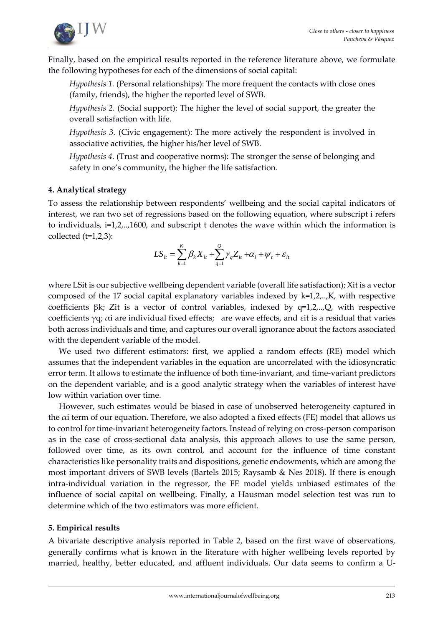

Finally, based on the empirical results reported in the reference literature above, we formulate the following hypotheses for each of the dimensions of social capital:

*Hypothesis 1.* (Personal relationships): The more frequent the contacts with close ones (family, friends), the higher the reported level of SWB.

*Hypothesis 2.* (Social support): The higher the level of social support, the greater the overall satisfaction with life.

*Hypothesis 3.* (Civic engagement): The more actively the respondent is involved in associative activities, the higher his/her level of SWB.

*Hypothesis 4.* (Trust and cooperative norms): The stronger the sense of belonging and safety in one's community, the higher the life satisfaction.

# **4. Analytical strategy**

To assess the relationship between respondents' wellbeing and the social capital indicators of interest, we ran two set of regressions based on the following equation, where subscript i refers to individuals, i=1,2,..,1600, and subscript t denotes the wave within which the information is collected  $(t=1,2,3)$ :

$$
LS_{it} = \sum_{k=1}^{K} \beta_k X_{it} + \sum_{q=1}^{Q} \gamma_q Z_{it} + \alpha_i + \psi_t + \varepsilon_{it}
$$

where LSit is our subjective wellbeing dependent variable (overall life satisfaction); Xit is a vector composed of the 17 social capital explanatory variables indexed by k=1,2,..,K, with respective coefficients  $\beta k$ ; Zit is a vector of control variables, indexed by q=1,2,..,Q, with respective coefficients  $\gamma q$ ;  $\alpha i$  are individual fixed effects; are wave effects, and  $\varepsilon i$ t is a residual that varies both across individuals and time, and captures our overall ignorance about the factors associated with the dependent variable of the model.

We used two different estimators: first, we applied a random effects (RE) model which assumes that the independent variables in the equation are uncorrelated with the idiosyncratic error term. It allows to estimate the influence of both time-invariant, and time-variant predictors on the dependent variable, and is a good analytic strategy when the variables of interest have low within variation over time.

However, such estimates would be biased in case of unobserved heterogeneity captured in the  $\alpha$ i term of our equation. Therefore, we also adopted a fixed effects (FE) model that allows us to control for time-invariant heterogeneity factors. Instead of relying on cross-person comparison as in the case of cross-sectional data analysis, this approach allows to use the same person, followed over time, as its own control, and account for the influence of time constant characteristics like personality traits and dispositions, genetic endowments, which are among the most important drivers of SWB levels (Bartels 2015; Raysamb & Nes 2018). If there is enough intra-individual variation in the regressor, the FE model yields unbiased estimates of the influence of social capital on wellbeing. Finally, a Hausman model selection test was run to determine which of the two estimators was more efficient.

# **5. Empirical results**

A bivariate descriptive analysis reported in Table 2, based on the first wave of observations, generally confirms what is known in the literature with higher wellbeing levels reported by married, healthy, better educated, and affluent individuals. Our data seems to confirm a U-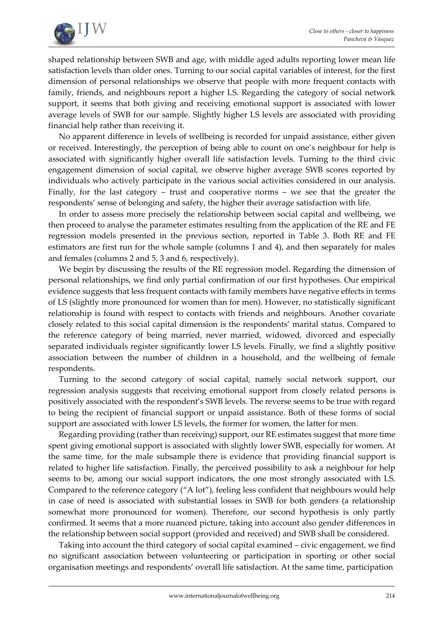

shaped relationship between SWB and age, with middle aged adults reporting lower mean life satisfaction levels than older ones. Turning to our social capital variables of interest, for the first dimension of personal relationships we observe that people with more frequent contacts with family, friends, and neighbours report a higher LS. Regarding the category of social network support, it seems that both giving and receiving emotional support is associated with lower average levels of SWB for our sample. Slightly higher LS levels are associated with providing financial help rather than receiving it.

No apparent difference in levels of wellbeing is recorded for unpaid assistance, either given or received. Interestingly, the perception of being able to count on one's neighbour for help is associated with significantly higher overall life satisfaction levels. Turning to the third civic engagement dimension of social capital, we observe higher average SWB scores reported by individuals who actively participate in the various social activities considered in our analysis. Finally, for the last category – trust and cooperative norms – we see that the greater the respondents' sense of belonging and safety, the higher their average satisfaction with life.

In order to assess more precisely the relationship between social capital and wellbeing, we then proceed to analyse the parameter estimates resulting from the application of the RE and FE regression models presented in the previous section, reported in Table 3. Both RE and FE estimators are first run for the whole sample (columns 1 and 4), and then separately for males and females (columns 2 and 5, 3 and 6, respectively).

We begin by discussing the results of the RE regression model. Regarding the dimension of personal relationships, we find only partial confirmation of our first hypotheses. Our empirical evidence suggests that less frequent contacts with family members have negative effects in terms of LS (slightly more pronounced for women than for men). However, no statistically significant relationship is found with respect to contacts with friends and neighbours. Another covariate closely related to this social capital dimension is the respondents' marital status. Compared to the reference category of being married, never married, widowed, divorced and especially separated individuals register significantly lower LS levels. Finally, we find a slightly positive association between the number of children in a household, and the wellbeing of female respondents.

Turning to the second category of social capital, namely social network support, our regression analysis suggests that receiving emotional support from closely related persons is positively associated with the respondent's SWB levels. The reverse seems to be true with regard to being the recipient of financial support or unpaid assistance. Both of these forms of social support are associated with lower LS levels, the former for women, the latter for men.

Regarding providing (rather than receiving) support, our RE estimates suggest that more time spent giving emotional support is associated with slightly lower SWB, especially for women. At the same time, for the male subsample there is evidence that providing financial support is related to higher life satisfaction. Finally, the perceived possibility to ask a neighbour for help seems to be, among our social support indicators, the one most strongly associated with LS. Compared to the reference category ("A lot"), feeling less confident that neighbours would help in case of need is associated with substantial losses in SWB for both genders (a relationship somewhat more pronounced for women). Therefore, our second hypothesis is only partly confirmed. It seems that a more nuanced picture, taking into account also gender differences in the relationship between social support (provided and received) and SWB shall be considered.

Taking into account the third category of social capital examined – civic engagement, we find no significant association between volunteering or participation in sporting or other social organisation meetings and respondents' overall life satisfaction. At the same time, participation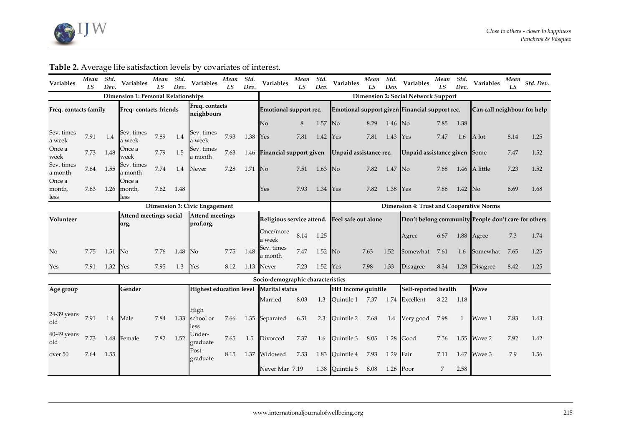

| <b>Variables</b>                            | Mean<br>LS | Std.<br>Dev.                        | Variables                                  | Mean<br>LS | Std.<br>Dev.                                  | Variables                      | Mean<br>LS | Std.<br>Dev. | <b>Variables</b>                  | Mean<br>LS | Std.<br>Dev.                                        | Variables                                  | Mean<br>LS | Std.<br>Dev. | Variables                                       | Mean<br>LS | Std.<br>Dev. | Variables                   | Mean<br><b>LS</b> | Std. Dev. |
|---------------------------------------------|------------|-------------------------------------|--------------------------------------------|------------|-----------------------------------------------|--------------------------------|------------|--------------|-----------------------------------|------------|-----------------------------------------------------|--------------------------------------------|------------|--------------|-------------------------------------------------|------------|--------------|-----------------------------|-------------------|-----------|
|                                             |            |                                     | <b>Dimension 1: Personal Relationships</b> |            |                                               |                                |            |              |                                   |            |                                                     | <b>Dimension 2: Social Network Support</b> |            |              |                                                 |            |              |                             |                   |           |
| Freq. contacts family                       |            |                                     | Freq-contacts friends                      |            |                                               | Freq. contacts<br>neighbours   |            |              | Emotional support rec.            |            |                                                     |                                            |            |              | Emotional support given Financial support rec.  |            |              | Can call neighbour for help |                   |           |
|                                             |            |                                     |                                            |            |                                               |                                |            |              | No                                | 8          | 1.57                                                | <b>No</b>                                  | 8.29       | $1.46$ No    |                                                 | 7.85       | 1.38         |                             |                   |           |
| Sev. times<br>a week                        | 7.91       | 1.4                                 | Sev. times<br>a week                       | 7.89       | 1.4                                           | Sev. times<br>a week           | 7.93       | 1.38         | Yes                               | 7.81       | 1.42                                                | Yes                                        | 7.81       | 1.43         | Yes                                             | 7.47       | 1.6          | A lot                       | 8.14              | 1.25      |
| Once a<br>week                              | 7.73       | 1.48                                | Once a<br>week                             | 7.79       | 1.5                                           | Sev. times<br>a month          | 7.63       |              | 1.46 Financial support given      |            |                                                     | Unpaid assistance rec.                     |            |              | Unpaid assistance given Some                    |            |              |                             | 7.47              | 1.52      |
| Sev. times<br>a month                       | 7.64       | 1.55                                | Sev. times<br>a month                      | 7.74       | 1.4                                           | Never                          | 7.28       | 1.71         | No                                | 7.51       | 1.63                                                | N <sub>o</sub>                             | 7.82       | 1.47         | $\overline{\rm No}$                             | 7.68       |              | 1.46 A little               | 7.23              | 1.52      |
| Once a<br>month,<br>less                    | 7.63       | 1.26                                | Once a<br>month,<br>less                   | 7.62       | 1.48                                          |                                |            |              | Yes                               | 7.93       | 1.34                                                | <b>Yes</b>                                 | 7.82       | 1.38         | Yes                                             | 7.86       | $1.42$ No    |                             | 6.69              | 1.68      |
|                                             |            |                                     |                                            |            |                                               | Dimension 3: Civic Engagement  |            |              |                                   |            |                                                     |                                            |            |              | <b>Dimension 4: Trust and Cooperative Norms</b> |            |              |                             |                   |           |
| Attend meetings social<br>Volunteer<br>org. |            | <b>Attend meetings</b><br>prof.org. |                                            |            | Religious service attend. Feel safe out alone |                                |            |              |                                   |            | Don't belong community People don't care for others |                                            |            |              |                                                 |            |              |                             |                   |           |
|                                             |            |                                     |                                            |            |                                               |                                |            |              | Once/more<br>a week               | 8.14 1.25  |                                                     |                                            |            |              | Agree                                           | 6.67       | 1.88         | Agree                       | 7.3               | 1.74      |
| No                                          | 7.75       | 1.51                                | <b>No</b>                                  | 7.76       | 1.48                                          | <b>No</b>                      | 7.75       | 1.48         | Sev. times<br>a month             | 7.47       | 1.52                                                | No                                         | 7.63       | 1.52         | Somewhat                                        | 7.61       | 1.6          | Somewhat                    | 7.65              | 1.25      |
| Yes                                         | 7.91       | 1.32                                | Yes                                        | 7.95       | 1.3                                           | Yes                            | 8.12       | 1.13         | Never                             | 7.23       | 1.52                                                | Yes                                        | 7.98       | 1.33         | <b>Disagree</b>                                 | 8.34       |              | 1.28 Disagree               | 8.42              | 1.25      |
|                                             |            |                                     |                                            |            |                                               |                                |            |              | Socio-demographic characteristics |            |                                                     |                                            |            |              |                                                 |            |              |                             |                   |           |
| Age group                                   |            |                                     | Gender                                     |            |                                               | <b>Highest education level</b> |            |              | <b>Marital</b> status             |            |                                                     | <b>HH</b> Income quintile                  |            |              | Self-reported health                            |            |              | Wave                        |                   |           |
|                                             |            |                                     |                                            |            |                                               |                                |            |              | Married                           | 8.03       | 1.3                                                 | Ouintile 1                                 | 7.37       | 1.74         | Excellent                                       | 8.22       | 1.18         |                             |                   |           |
| 24-39 years<br>old                          | 7.91       | 1.4                                 | Male                                       | 7.84       |                                               | High<br>1.33 school or<br>less | 7.66       |              | 1.35 Separated                    | 6.51       | 2.3                                                 | Quintile 2                                 | 7.68       |              | 1.4 Very good                                   | 7.98       | -1           | Wave 1                      | 7.83              | 1.43      |
| $40-49$ years<br>old                        | 7.73       | 1.48                                | Female                                     | 7.82       | 1.52                                          | Under-<br>graduate             | 7.65       | 1.5          | Divorced                          | 7.37       | 1.6                                                 | Quintile 3                                 | 8.05       | 1.28         | Good                                            | 7.56       | 1.55         | Wave 2                      | 7.92              | 1.42      |
| over 50                                     | 7.64       | 1.55                                |                                            |            |                                               | Post-<br>graduate              | 8.15       | 1.37         | Widowed                           | 7.53       | 1.83                                                | Quintile 4                                 | 7.93       | 1.29         | Fair                                            | 7.11       | 1.47         | Wave 3                      | 7.9               | 1.56      |
|                                             |            |                                     |                                            |            |                                               |                                |            |              | Never Mar 7.19                    |            |                                                     | 1.38 Quintile 5                            | 8.08       | $1.26$ Poor  |                                                 | 7          | 2.58         |                             |                   |           |

# **Table 2.** Average life satisfaction levels by covariates of interest.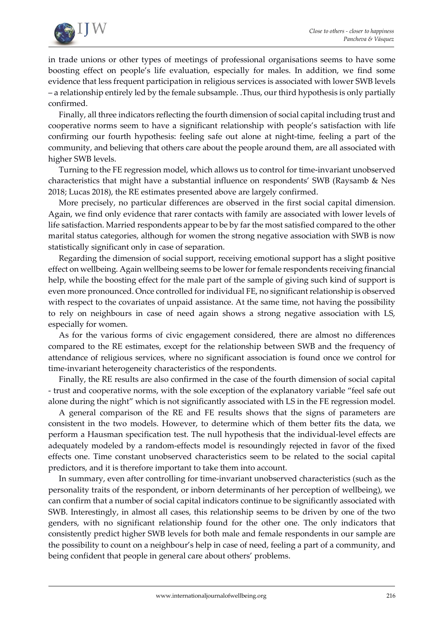

in trade unions or other types of meetings of professional organisations seems to have some boosting effect on people's life evaluation, especially for males. In addition, we find some evidence that less frequent participation in religious services is associated with lower SWB levels – a relationship entirely led by the female subsample. .Thus, our third hypothesis is only partially confirmed.

Finally, all three indicators reflecting the fourth dimension of social capital including trust and cooperative norms seem to have a significant relationship with people's satisfaction with life confirming our fourth hypothesis: feeling safe out alone at night-time, feeling a part of the community, and believing that others care about the people around them, are all associated with higher SWB levels.

Turning to the FE regression model, which allows us to control for time-invariant unobserved characteristics that might have a substantial influence on respondents' SWB (Raysamb & Nes 2018; Lucas 2018), the RE estimates presented above are largely confirmed.

More precisely, no particular differences are observed in the first social capital dimension. Again, we find only evidence that rarer contacts with family are associated with lower levels of life satisfaction. Married respondents appear to be by far the most satisfied compared to the other marital status categories, although for women the strong negative association with SWB is now statistically significant only in case of separation.

Regarding the dimension of social support, receiving emotional support has a slight positive effect on wellbeing. Again wellbeing seems to be lower for female respondents receiving financial help, while the boosting effect for the male part of the sample of giving such kind of support is even more pronounced. Once controlled for individual FE, no significant relationship is observed with respect to the covariates of unpaid assistance. At the same time, not having the possibility to rely on neighbours in case of need again shows a strong negative association with LS, especially for women.

As for the various forms of civic engagement considered, there are almost no differences compared to the RE estimates, except for the relationship between SWB and the frequency of attendance of religious services, where no significant association is found once we control for time-invariant heterogeneity characteristics of the respondents.

Finally, the RE results are also confirmed in the case of the fourth dimension of social capital - trust and cooperative norms, with the sole exception of the explanatory variable "feel safe out alone during the night" which is not significantly associated with LS in the FE regression model.

A general comparison of the RE and FE results shows that the signs of parameters are consistent in the two models. However, to determine which of them better fits the data, we perform a Hausman specification test. The null hypothesis that the individual-level effects are adequately modeled by a random-effects model is resoundingly rejected in favor of the fixed effects one. Time constant unobserved characteristics seem to be related to the social capital predictors, and it is therefore important to take them into account.

In summary, even after controlling for time-invariant unobserved characteristics (such as the personality traits of the respondent, or inborn determinants of her perception of wellbeing), we can confirm that a number of social capital indicators continue to be significantly associated with SWB. Interestingly, in almost all cases, this relationship seems to be driven by one of the two genders, with no significant relationship found for the other one. The only indicators that consistently predict higher SWB levels for both male and female respondents in our sample are the possibility to count on a neighbour's help in case of need, feeling a part of a community, and being confident that people in general care about others' problems.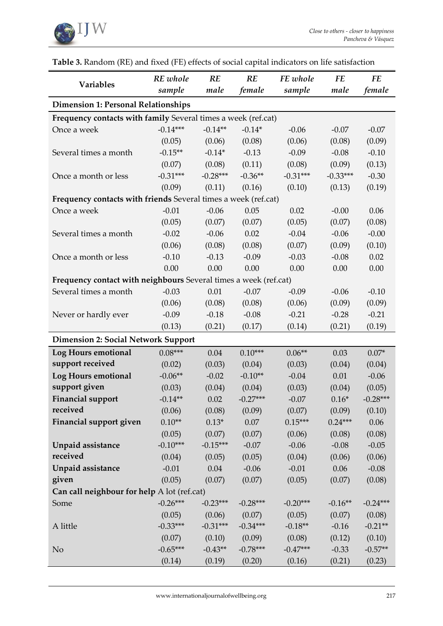

| <b>Variables</b>                                                 | RE whole   | RE         | RE         | FE whole   | <b>FE</b>  | <b>FE</b>  |
|------------------------------------------------------------------|------------|------------|------------|------------|------------|------------|
|                                                                  | sample     | male       | female     | sample     | male       | female     |
| <b>Dimension 1: Personal Relationships</b>                       |            |            |            |            |            |            |
| Frequency contacts with family Several times a week (ref.cat)    |            |            |            |            |            |            |
| Once a week                                                      | $-0.14***$ | $-0.14**$  | $-0.14*$   | $-0.06$    | $-0.07$    | $-0.07$    |
|                                                                  | (0.05)     | (0.06)     | (0.08)     | (0.06)     | (0.08)     | (0.09)     |
| Several times a month                                            | $-0.15**$  | $-0.14*$   | $-0.13$    | $-0.09$    | $-0.08$    | $-0.10$    |
|                                                                  | (0.07)     | (0.08)     | (0.11)     | (0.08)     | (0.09)     | (0.13)     |
| Once a month or less                                             | $-0.31***$ | $-0.28***$ | $-0.36**$  | $-0.31***$ | $-0.33***$ | $-0.30$    |
|                                                                  | (0.09)     | (0.11)     | (0.16)     | (0.10)     | (0.13)     | (0.19)     |
| Frequency contacts with friends Several times a week (ref.cat)   |            |            |            |            |            |            |
| Once a week                                                      | $-0.01$    | $-0.06$    | 0.05       | 0.02       | $-0.00$    | 0.06       |
|                                                                  | (0.05)     | (0.07)     | (0.07)     | (0.05)     | (0.07)     | (0.08)     |
| Several times a month                                            | $-0.02$    | $-0.06$    | 0.02       | $-0.04$    | $-0.06$    | $-0.00$    |
|                                                                  | (0.06)     | (0.08)     | (0.08)     | (0.07)     | (0.09)     | (0.10)     |
| Once a month or less                                             | $-0.10$    | $-0.13$    | $-0.09$    | $-0.03$    | $-0.08$    | 0.02       |
|                                                                  | 0.00       | 0.00       | 0.00       | 0.00       | 0.00       | 0.00       |
| Frequency contact with neighbours Several times a week (ref.cat) |            |            |            |            |            |            |
| Several times a month                                            | $-0.03$    | 0.01       | $-0.07$    | $-0.09$    | $-0.06$    | $-0.10$    |
|                                                                  | (0.06)     | (0.08)     | (0.08)     | (0.06)     | (0.09)     | (0.09)     |
| Never or hardly ever                                             | $-0.09$    | $-0.18$    | $-0.08$    | $-0.21$    | $-0.28$    | $-0.21$    |
|                                                                  | (0.13)     | (0.21)     | (0.17)     | (0.14)     | (0.21)     | (0.19)     |
| <b>Dimension 2: Social Network Support</b>                       |            |            |            |            |            |            |
| Log Hours emotional                                              | $0.08***$  | 0.04       | $0.10***$  | $0.06**$   | 0.03       | $0.07*$    |
| support received                                                 | (0.02)     | (0.03)     | (0.04)     | (0.03)     | (0.04)     | (0.04)     |
| Log Hours emotional                                              | $-0.06**$  | $-0.02$    | $-0.10**$  | $-0.04$    | 0.01       | $-0.06$    |
| support given                                                    | (0.03)     | (0.04)     | (0.04)     | (0.03)     | (0.04)     | (0.05)     |
| <b>Financial support</b>                                         | $-0.14**$  | 0.02       | $-0.27***$ | $-0.07$    | $0.16*$    | $-0.28***$ |
| received                                                         | (0.06)     | (0.08)     | (0.09)     | (0.07)     | (0.09)     | (0.10)     |
| Financial support given                                          | $0.10**$   | $0.13*$    | $0.07\,$   | $0.15***$  | $0.24***$  | $0.06\,$   |
|                                                                  | (0.05)     | (0.07)     | (0.07)     | (0.06)     | (0.08)     | (0.08)     |
| Unpaid assistance                                                | $-0.10***$ | $-0.15***$ | $-0.07$    | $-0.06$    | $-0.08$    | $-0.05$    |
| received                                                         | (0.04)     | (0.05)     | (0.05)     | (0.04)     | (0.06)     | (0.06)     |
| Unpaid assistance                                                | $-0.01$    | 0.04       | $-0.06$    | $-0.01$    | 0.06       | $-0.08$    |
| given                                                            | (0.05)     | (0.07)     | (0.07)     | (0.05)     | (0.07)     | (0.08)     |
| Can call neighbour for help A lot (ref.cat)                      |            |            |            |            |            |            |
| Some                                                             | $-0.26***$ | $-0.23***$ | $-0.28***$ | $-0.20***$ | $-0.16**$  | $-0.24***$ |
|                                                                  | (0.05)     | (0.06)     | (0.07)     | (0.05)     | (0.07)     | (0.08)     |
| A little                                                         | $-0.33***$ | $-0.31***$ | $-0.34***$ | $-0.18**$  | $-0.16$    | $-0.21**$  |
|                                                                  | (0.07)     | (0.10)     | (0.09)     | (0.08)     | (0.12)     | (0.10)     |
| N <sub>o</sub>                                                   | $-0.65***$ | $-0.43**$  | $-0.78***$ | $-0.47***$ | $-0.33$    | $-0.57**$  |
|                                                                  | (0.14)     | (0.19)     | (0.20)     | (0.16)     | (0.21)     | (0.23)     |

# **Table 3.** Random (RE) and fixed (FE) effects of social capital indicators on life satisfaction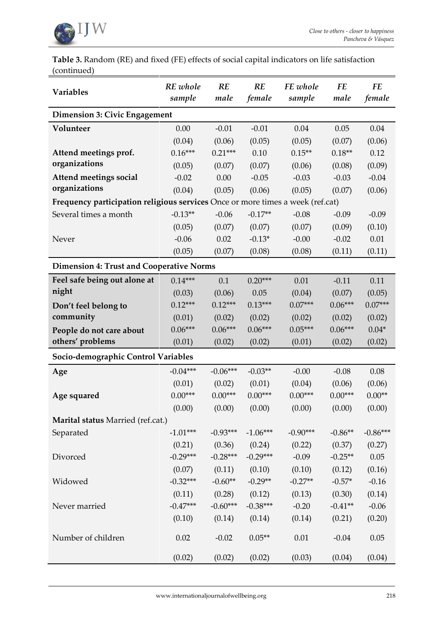

**Table 3.** Random (RE) and fixed (FE) effects of social capital indicators on life satisfaction (continued)

| Variables                                                                      | RE whole<br>sample | RE<br>male | RE<br>female | FE whole<br>sample | FE<br>male | <b>FE</b><br>female |
|--------------------------------------------------------------------------------|--------------------|------------|--------------|--------------------|------------|---------------------|
| Dimension 3: Civic Engagement                                                  |                    |            |              |                    |            |                     |
| Volunteer                                                                      | 0.00               | $-0.01$    | $-0.01$      | 0.04               | 0.05       | 0.04                |
|                                                                                | (0.04)             | (0.06)     | (0.05)       | (0.05)             | (0.07)     | (0.06)              |
| Attend meetings prof.                                                          | $0.16***$          | $0.21***$  | 0.10         | $0.15**$           | $0.18**$   | 0.12                |
| organizations                                                                  | (0.05)             | (0.07)     | (0.07)       | (0.06)             | (0.08)     | (0.09)              |
| Attend meetings social                                                         | $-0.02$            | 0.00       | $-0.05$      | $-0.03$            | $-0.03$    | $-0.04$             |
| organizations                                                                  | (0.04)             | (0.05)     | (0.06)       | (0.05)             | (0.07)     | (0.06)              |
| Frequency participation religious services Once or more times a week (ref.cat) |                    |            |              |                    |            |                     |
| Several times a month                                                          | $-0.13**$          | $-0.06$    | $-0.17**$    | $-0.08$            | $-0.09$    | $-0.09$             |
|                                                                                | (0.05)             | (0.07)     | (0.07)       | (0.07)             | (0.09)     | (0.10)              |
| Never                                                                          | $-0.06$            | 0.02       | $-0.13*$     | $-0.00$            | $-0.02$    | 0.01                |
|                                                                                | (0.05)             | (0.07)     | (0.08)       | (0.08)             | (0.11)     | (0.11)              |
| <b>Dimension 4: Trust and Cooperative Norms</b>                                |                    |            |              |                    |            |                     |
| Feel safe being out alone at                                                   | $0.14***$          | 0.1        | $0.20***$    | 0.01               | $-0.11$    | 0.11                |
| night                                                                          | (0.03)             | (0.06)     | 0.05         | (0.04)             | (0.07)     | (0.05)              |
| Don't feel belong to                                                           | $0.12***$          | $0.12***$  | $0.13***$    | $0.07***$          | $0.06***$  | $0.07***$           |
| community                                                                      | (0.01)             | (0.02)     | (0.02)       | (0.02)             | (0.02)     | (0.02)              |
| People do not care about                                                       | $0.06***$          | $0.06***$  | $0.06***$    | $0.05***$          | $0.06***$  | $0.04*$             |
| others' problems                                                               | (0.01)             | (0.02)     | (0.02)       | (0.01)             | (0.02)     | (0.02)              |
| Socio-demographic Control Variables                                            |                    |            |              |                    |            |                     |
| Age                                                                            | $-0.04***$         | $-0.06***$ | $-0.03**$    | $-0.00$            | $-0.08$    | 0.08                |
|                                                                                | (0.01)             | (0.02)     | (0.01)       | (0.04)             | (0.06)     | (0.06)              |
| Age squared                                                                    | $0.00***$          | $0.00***$  | $0.00***$    | $0.00***$          | $0.00***$  | $0.00**$            |
|                                                                                | (0.00)             | (0.00)     | (0.00)       | (0.00)             | (0.00)     | (0.00)              |
| Marital status Married (ref.cat.)                                              |                    |            |              |                    |            |                     |
| Separated                                                                      | $-1.01***$         | $-0.93***$ | $-1.06***$   | $-0.90***$         | $-0.86**$  | $-0.86***$          |
|                                                                                | (0.21)             | (0.36)     | (0.24)       | (0.22)             | (0.37)     | (0.27)              |
| Divorced                                                                       | $-0.29***$         | $-0.28***$ | $-0.29***$   | $-0.09$            | $-0.25**$  | $0.05\,$            |
|                                                                                | (0.07)             | (0.11)     | (0.10)       | (0.10)             | (0.12)     | (0.16)              |
| Widowed                                                                        | $-0.32***$         | $-0.60**$  | $-0.29**$    | $-0.27**$          | $-0.57*$   | $-0.16$             |
|                                                                                | (0.11)             | (0.28)     | (0.12)       | (0.13)             | (0.30)     | (0.14)              |
| Never married                                                                  | $-0.47***$         | $-0.60***$ | $-0.38***$   | $-0.20$            | $-0.41**$  | $-0.06$             |
|                                                                                | (0.10)             | (0.14)     | (0.14)       | (0.14)             | (0.21)     | (0.20)              |
| Number of children                                                             | 0.02               | $-0.02$    | $0.05**$     | 0.01               | $-0.04$    | 0.05                |
|                                                                                | (0.02)             | (0.02)     | (0.02)       | (0.03)             | (0.04)     | (0.04)              |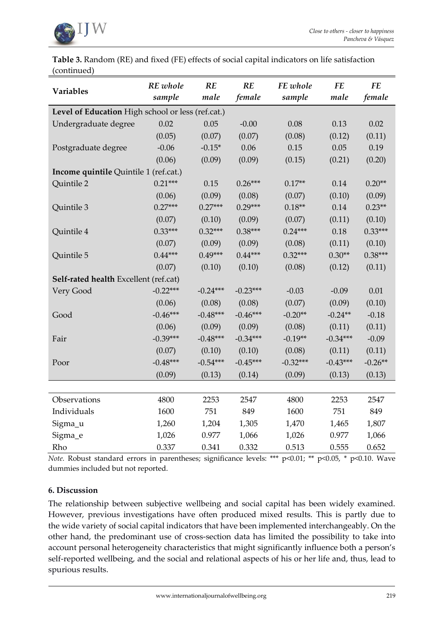

**Table 3.** Random (RE) and fixed (FE) effects of social capital indicators on life satisfaction (continued)

| Variables                                         | RE whole<br>sample | RE<br>male | RE<br>female | FE whole<br>sample | <b>FE</b><br>male | <b>FE</b><br>female |
|---------------------------------------------------|--------------------|------------|--------------|--------------------|-------------------|---------------------|
| Level of Education High school or less (ref.cat.) |                    |            |              |                    |                   |                     |
| Undergraduate degree                              | 0.02               | 0.05       | $-0.00$      | 0.08               | 0.13              | 0.02                |
|                                                   | (0.05)             | (0.07)     | (0.07)       | (0.08)             | (0.12)            | (0.11)              |
| Postgraduate degree                               | $-0.06$            | $-0.15*$   | 0.06         | 0.15               | 0.05              | 0.19                |
|                                                   | (0.06)             | (0.09)     | (0.09)       | (0.15)             | (0.21)            | (0.20)              |
| Income quintile Quintile 1 (ref.cat.)             |                    |            |              |                    |                   |                     |
| Quintile 2                                        | $0.21***$          | 0.15       | $0.26***$    | $0.17**$           | 0.14              | $0.20**$            |
|                                                   | (0.06)             | (0.09)     | (0.08)       | (0.07)             | (0.10)            | (0.09)              |
| Quintile 3                                        | $0.27***$          | $0.27***$  | $0.29***$    | $0.18**$           | 0.14              | $0.23**$            |
|                                                   | (0.07)             | (0.10)     | (0.09)       | (0.07)             | (0.11)            | (0.10)              |
| Quintile 4                                        | $0.33***$          | $0.32***$  | $0.38***$    | $0.24***$          | 0.18              | $0.33***$           |
|                                                   | (0.07)             | (0.09)     | (0.09)       | (0.08)             | (0.11)            | (0.10)              |
| Quintile 5                                        | $0.44***$          | $0.49***$  | $0.44***$    | $0.32***$          | $0.30**$          | $0.38***$           |
|                                                   | (0.07)             | (0.10)     | (0.10)       | (0.08)             | (0.12)            | (0.11)              |
| Self-rated health Excellent (ref.cat)             |                    |            |              |                    |                   |                     |
| Very Good                                         | $-0.22***$         | $-0.24***$ | $-0.23***$   | $-0.03$            | $-0.09$           | 0.01                |
|                                                   | (0.06)             | (0.08)     | (0.08)       | (0.07)             | (0.09)            | (0.10)              |
| Good                                              | $-0.46***$         | $-0.48***$ | $-0.46***$   | $-0.20**$          | $-0.24**$         | $-0.18$             |
|                                                   | (0.06)             | (0.09)     | (0.09)       | (0.08)             | (0.11)            | (0.11)              |
| Fair                                              | $-0.39***$         | $-0.48***$ | $-0.34***$   | $-0.19**$          | $-0.34***$        | $-0.09$             |
|                                                   | (0.07)             | (0.10)     | (0.10)       | (0.08)             | (0.11)            | (0.11)              |
| Poor                                              | $-0.48***$         | $-0.54***$ | $-0.45***$   | $-0.32***$         | $-0.43***$        | $-0.26**$           |
|                                                   | (0.09)             | (0.13)     | (0.14)       | (0.09)             | (0.13)            | (0.13)              |
|                                                   |                    |            |              |                    |                   |                     |
| Observations                                      | 4800               | 2253       | 2547         | 4800               | 2253              | 2547                |
| Individuals                                       | 1600               | 751        | 849          | 1600               | 751               | 849                 |
| Sigma_u                                           | 1,260              | 1,204      | 1,305        | 1,470              | 1,465             | 1,807               |
| Sigma_e                                           | 1,026              | 0.977      | 1,066        | 1,026              | 0.977             | 1,066               |
| Rho                                               | 0.337              | 0.341      | 0.332        | 0.513              | 0.555             | 0.652               |

*Note.* Robust standard errors in parentheses; significance levels: \*\*\* p<0.01; \*\* p<0.05, \* p<0.10. Wave dummies included but not reported.

# **6. Discussion**

The relationship between subjective wellbeing and social capital has been widely examined. However, previous investigations have often produced mixed results. This is partly due to the wide variety of social capital indicators that have been implemented interchangeably. On the other hand, the predominant use of cross-section data has limited the possibility to take into account personal heterogeneity characteristics that might significantly influence both a person's self-reported wellbeing, and the social and relational aspects of his or her life and, thus, lead to spurious results.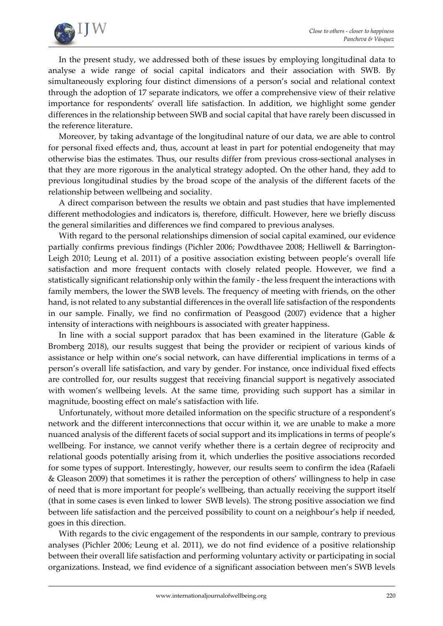

In the present study, we addressed both of these issues by employing longitudinal data to analyse a wide range of social capital indicators and their association with SWB. By simultaneously exploring four distinct dimensions of a person's social and relational context through the adoption of 17 separate indicators, we offer a comprehensive view of their relative importance for respondents' overall life satisfaction. In addition, we highlight some gender differences in the relationship between SWB and social capital that have rarely been discussed in the reference literature.

Moreover, by taking advantage of the longitudinal nature of our data, we are able to control for personal fixed effects and, thus, account at least in part for potential endogeneity that may otherwise bias the estimates. Thus, our results differ from previous cross-sectional analyses in that they are more rigorous in the analytical strategy adopted. On the other hand, they add to previous longitudinal studies by the broad scope of the analysis of the different facets of the relationship between wellbeing and sociality.

A direct comparison between the results we obtain and past studies that have implemented different methodologies and indicators is, therefore, difficult. However, here we briefly discuss the general similarities and differences we find compared to previous analyses.

With regard to the personal relationships dimension of social capital examined, our evidence partially confirms previous findings (Pichler 2006; Powdthavee 2008; Helliwell & Barrington-Leigh 2010; Leung et al. 2011) of a positive association existing between people's overall life satisfaction and more frequent contacts with closely related people. However, we find a statistically significant relationship only within the family - the less frequent the interactions with family members, the lower the SWB levels. The frequency of meeting with friends, on the other hand, is not related to any substantial differences in the overall life satisfaction of the respondents in our sample. Finally, we find no confirmation of Peasgood (2007) evidence that a higher intensity of interactions with neighbours is associated with greater happiness.

In line with a social support paradox that has been examined in the literature (Gable  $\&$ Bromberg 2018), our results suggest that being the provider or recipient of various kinds of assistance or help within one's social network, can have differential implications in terms of a person's overall life satisfaction, and vary by gender. For instance, once individual fixed effects are controlled for, our results suggest that receiving financial support is negatively associated with women's wellbeing levels. At the same time, providing such support has a similar in magnitude, boosting effect on male's satisfaction with life.

Unfortunately, without more detailed information on the specific structure of a respondent's network and the different interconnections that occur within it, we are unable to make a more nuanced analysis of the different facets of social support and its implications in terms of people's wellbeing. For instance, we cannot verify whether there is a certain degree of reciprocity and relational goods potentially arising from it, which underlies the positive associations recorded for some types of support. Interestingly, however, our results seem to confirm the idea (Rafaeli & Gleason 2009) that sometimes it is rather the perception of others' willingness to help in case of need that is more important for people's wellbeing, than actually receiving the support itself (that in some cases is even linked to lower SWB levels). The strong positive association we find between life satisfaction and the perceived possibility to count on a neighbour's help if needed, goes in this direction.

With regards to the civic engagement of the respondents in our sample, contrary to previous analyses (Pichler 2006; Leung et al. 2011), we do not find evidence of a positive relationship between their overall life satisfaction and performing voluntary activity or participating in social organizations. Instead, we find evidence of a significant association between men's SWB levels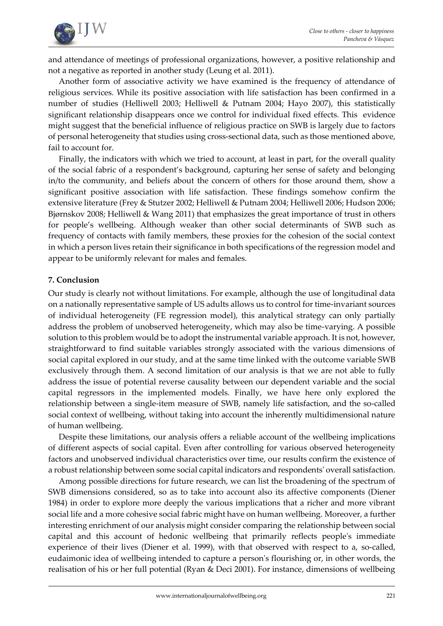

and attendance of meetings of professional organizations, however, a positive relationship and not a negative as reported in another study (Leung et al. 2011).

Another form of associative activity we have examined is the frequency of attendance of religious services. While its positive association with life satisfaction has been confirmed in a number of studies (Helliwell 2003; Helliwell & Putnam 2004; Hayo 2007), this statistically significant relationship disappears once we control for individual fixed effects. This evidence might suggest that the beneficial influence of religious practice on SWB is largely due to factors of personal heterogeneity that studies using cross-sectional data, such as those mentioned above, fail to account for.

Finally, the indicators with which we tried to account, at least in part, for the overall quality of the social fabric of a respondent's background, capturing her sense of safety and belonging in/to the community, and beliefs about the concern of others for those around them, show a significant positive association with life satisfaction. These findings somehow confirm the extensive literature (Frey & Stutzer 2002; Helliwell & Putnam 2004; Helliwell 2006; Hudson 2006; Bjørnskov 2008; Helliwell & Wang 2011) that emphasizes the great importance of trust in others for people's wellbeing. Although weaker than other social determinants of SWB such as frequency of contacts with family members, these proxies for the cohesion of the social context in which a person lives retain their significance in both specifications of the regression model and appear to be uniformly relevant for males and females.

# **7. Conclusion**

Our study is clearly not without limitations. For example, although the use of longitudinal data on a nationally representative sample of US adults allows us to control for time-invariant sources of individual heterogeneity (FE regression model), this analytical strategy can only partially address the problem of unobserved heterogeneity, which may also be time-varying. A possible solution to this problem would be to adopt the instrumental variable approach. It is not, however, straightforward to find suitable variables strongly associated with the various dimensions of social capital explored in our study, and at the same time linked with the outcome variable SWB exclusively through them. A second limitation of our analysis is that we are not able to fully address the issue of potential reverse causality between our dependent variable and the social capital regressors in the implemented models. Finally, we have here only explored the relationship between a single-item measure of SWB, namely life satisfaction, and the so-called social context of wellbeing, without taking into account the inherently multidimensional nature of human wellbeing.

Despite these limitations, our analysis offers a reliable account of the wellbeing implications of different aspects of social capital. Even after controlling for various observed heterogeneity factors and unobserved individual characteristics over time, our results confirm the existence of a robust relationship between some social capital indicators and respondents' overall satisfaction.

Among possible directions for future research, we can list the broadening of the spectrum of SWB dimensions considered, so as to take into account also its affective components (Diener 1984) in order to explore more deeply the various implications that a richer and more vibrant social life and a more cohesive social fabric might have on human wellbeing. Moreover, a further interesting enrichment of our analysis might consider comparing the relationship between social capital and this account of hedonic wellbeing that primarily reflects people's immediate experience of their lives (Diener et al. 1999), with that observed with respect to a, so-called, eudaimonic idea of wellbeing intended to capture a person's flourishing or, in other words, the realisation of his or her full potential (Ryan & Deci 2001). For instance, dimensions of wellbeing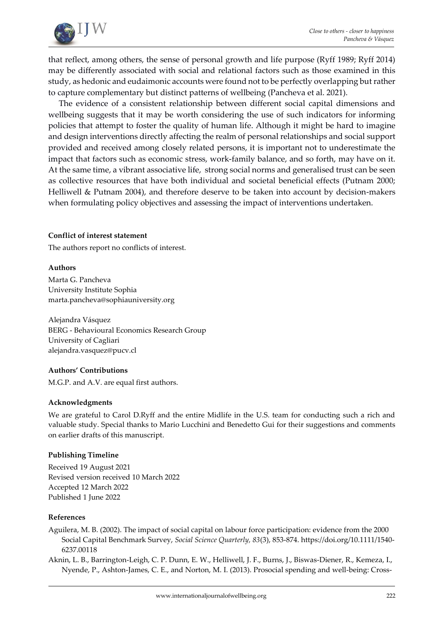

that reflect, among others, the sense of personal growth and life purpose (Ryff 1989; Ryff 2014) may be differently associated with social and relational factors such as those examined in this study, as hedonic and eudaimonic accounts were found not to be perfectly overlapping but rather to capture complementary but distinct patterns of wellbeing (Pancheva et al. 2021).

The evidence of a consistent relationship between different social capital dimensions and wellbeing suggests that it may be worth considering the use of such indicators for informing policies that attempt to foster the quality of human life. Although it might be hard to imagine and design interventions directly affecting the realm of personal relationships and social support provided and received among closely related persons, it is important not to underestimate the impact that factors such as economic stress, work-family balance, and so forth, may have on it. At the same time, a vibrant associative life, strong social norms and generalised trust can be seen as collective resources that have both individual and societal beneficial effects (Putnam 2000; Helliwell & Putnam 2004), and therefore deserve to be taken into account by decision-makers when formulating policy objectives and assessing the impact of interventions undertaken.

#### **Conflict of interest statement**

The authors report no conflicts of interest.

#### **Authors**

Marta G. Pancheva University Institute Sophia [marta.pancheva@sophiauniversity.org](mailto:marta.pancheva@sophiauniversity.org)

Alejandra Vásquez BERG - Behavioural Economics Research Group University of Cagliari alejandra.vasquez@pucv.cl

#### **Authors' Contributions**

M.G.P. and A.V. are equal first authors.

#### **Acknowledgments**

We are grateful to Carol D.Ryff and the entire Midlife in the U.S. team for conducting such a rich and valuable study. Special thanks to Mario Lucchini and Benedetto Gui for their suggestions and comments on earlier drafts of this manuscript.

#### **Publishing Timeline**

Received 19 August 2021 Revised version received 10 March 2022 Accepted 12 March 2022 Published 1 June 2022

#### **References**

- Aguilera, M. B. (2002). The impact of social capital on labour force participation: evidence from the 2000 Social Capital Benchmark Survey, *Social Science Quarterly, 83*(3), 853-874[. https://doi.org/10.1111/1540-](https://doi.org/10.1111/1540-6237.00118) [6237.00118](https://doi.org/10.1111/1540-6237.00118)
- Aknin, L. B., Barrington-Leigh, C. P. Dunn, E. W., Helliwell, J. F., Burns, J., Biswas-Diener, R., Kemeza, I., Nyende, P., Ashton-James, C. E., and Norton, M. I. (2013). Prosocial spending and well-being: Cross-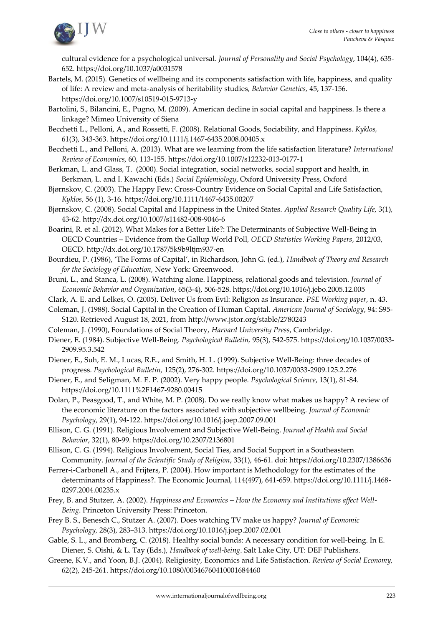

cultural evidence for a psychological universal. *Journal of Personality and Social Psychology*, 104(4), 635- 65[2.](https://psycnet.apa.org/doi/10.1037/a0031578) <https://doi.org/10.1037/a0031578>

Bartels, M. (2015). Genetics of wellbeing and its components satisfaction with life, happiness, and quality of life: A review and meta-analysis of heritability studies, *Behavior Genetics,* 45, 137-156. https://doi.org[/10.1007/s10519-015-9713-y](https://dx.doi.org/10.1007%2Fs10519-015-9713-y)

Bartolini, S., Bilancini, E., Pugno, M. (2009). American decline in social capital and happiness. Is there a linkage? Mimeo University of Siena

- Becchetti L., Pelloni, A., and Rossetti, F. (2008). Relational Goods, Sociability, and Happiness. *Kyklos,* 61(3), 343-363. https://doi.org/10.1111/j.1467-6435.2008.00405.x
- Becchetti L., and Pelloni, A. (2013). What are we learning from the life satisfaction literature? *International Review of Economics*, 60, 113-155. https://doi.org[/10.1007/s12232-013-0177-1](http://dx.doi.org/10.1007/s12232-013-0177-1)
- Berkman, L. and Glass, T. (2000). Social integration, social networks, social support and health, in Berkman, L. and I. Kawachi (Eds.) *Social Epidemiology*, Oxford University Press, Oxford
- Bjørnskov, C. (2003). The Happy Few: Cross-Country Evidence on Social Capital and Life Satisfaction, *Kyklos*, 56 (1), 3-16. <https://doi.org/10.1111/1467-6435.00207>
- Bjørnskov, C. (2008). Social Capital and Happiness in the United States. *Applied Research Quality Life*, 3(1), 43-62. <http://dx.doi.org/10.1007/s11482-008-9046-6>
- Boarini, R. et al. (2012). What Makes for a Better Life?: The Determinants of Subjective Well-Being in OECD Countries – Evidence from the Gallup World Poll*, OECD Statistics Working Papers*, 2012/03, OECD. http://dx.doi.org/10.1787/5k9b9ltjm937-en
- Bourdieu, P. (1986), 'The Forms of Capital', in Richardson, John G. (ed.), *Handbook of Theory and Research for the Sociology of Education,* New York: Greenwood.
- Bruni, L., and Stanca, L. (2008). Watching alone. Happiness, relational goods and television. *Journal of Economic Behavior and Organization*, 65(3-4), 506-528.<https://doi.org/10.1016/j.jebo.2005.12.005>
- Clark, A. E. and Lelkes, O. (2005). Deliver Us from Evil: Religion as Insurance. *PSE Working paper*, n. 43.
- Coleman, J. (1988). Social Capital in the Creation of Human Capital. *American Journal of Sociology*, 94: S95- S120. Retrieved August 18, 2021, from <http://www.jstor.org/stable/2780243>
- Coleman, J. (1990), Foundations of Social Theory, *Harvard University Press*, Cambridge.
- Diener, E. (1984). Subjective Well-Being. *Psychological Bulletin,* 95(3), 542-575. [https://doi.org/10.1037/0033-](https://doi.org/10.1037/0033-2909.95.3.542) [2909.95.3.542](https://doi.org/10.1037/0033-2909.95.3.542)
- Diener, E., Suh, E. M., Lucas, R.E., and Smith, H. L. (1999). Subjective Well-Being: three decades of progress. *Psychological Bulletin,* 125(2), 276-302. [https://doi.org/10.1037/0033-2909.125.2.276](https://psycnet.apa.org/doi/10.1037/0033-2909.125.2.276)
- Diener, E., and Seligman, M. E. P. (2002). Very happy people. *Psychological Science*, 13(1), 81-84[.](https://doi.org/10.1111%2F1467-9280.00415) <https://doi.org/10.1111%2F1467-9280.00415>
- Dolan, P., Peasgood, T., and White, M. P. (2008). Do we really know what makes us happy? A review of the economic literature on the factors associated with subjective wellbeing. *Journal of Economic Psychology*, 29(1), 94-122. <https://doi.org/10.1016/j.joep.2007.09.001>
- Ellison, C. G. (1991). Religious Involvement and Subjective Well-Being. *Journal of Health and Social Behavior*, 32(1), 80-99[. https://doi.org/10.2307/2136801](https://doi.org/10.2307/2136801)
- Ellison, C. G. (1994). Religious Involvement, Social Ties, and Social Support in a Southeastern Community. *Journal of the Scientific Study of Religion*, 33(1), 46-61. doi[:](https://psycnet.apa.org/doi/10.2307/1386636) <https://doi.org/10.2307/1386636>
- Ferrer-i-Carbonell A., and [Frijters,](https://onlinelibrary.wiley.com/action/doSearch?ContribAuthorStored=Frijters%2C+Paul) [P.](https://onlinelibrary.wiley.com/action/doSearch?ContribAuthorStored=Frijters%2C+Paul) (2004). How important is Methodology for the estimates of the determinants of Happiness?. The Economic Journal, 114(497), 641-659. [https://doi.org/10.1111/j.1468-](https://doi.org/10.1111/j.1468-0297.2004.00235.x) [0297.2004.00235.x](https://doi.org/10.1111/j.1468-0297.2004.00235.x)
- Frey, B. and Stutzer, A. (2002). *Happiness and Economics – How the Economy and Institutions affect Well-Being*. Princeton University Press: Princeton.
- Frey B. S., Benesch C., Stutzer A. (2007). Does watching TV make us happy? *Journal of Economic Psychology,* 28(3), 283–313. <https://doi.org/10.1016/j.joep.2007.02.001>
- Gable, S. L., and Bromberg, C. (2018). Healthy social bonds: A necessary condition for well-being. In E. Diener, S. Oishi, & L. Tay (Eds.), *Handbook of well-being*. Salt Lake City, UT: DEF Publishers.
- Greene, K.V., and Yoon, B.J. (2004). Religiosity, Economics and Life Satisfaction. *Review of Social Economy,*  62(2), 245-261. <https://doi.org/10.1080/00346760410001684460>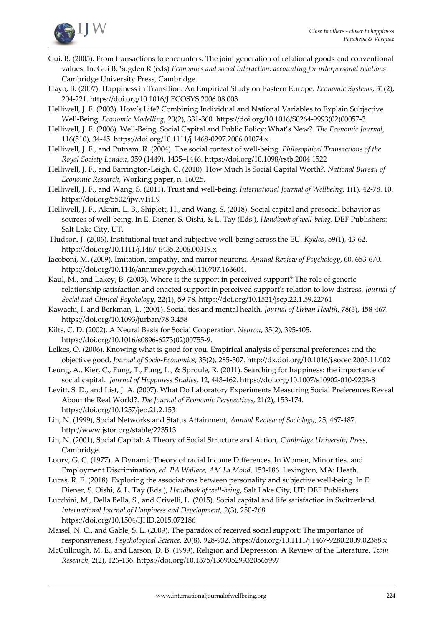

- Gui, B. (2005). From transactions to encounters. The joint generation of relational goods and conventional values. In: Gui B, Sugden R (eds) *Economics and social interaction: accounting for interpersonal relations*. Cambridge University Press, Cambridge.
- Hayo, B. (2007). Happiness in Transition: An Empirical Study on Eastern Europe. *Economic Systems*, 31(2), 204-221. <https://doi.org/10.1016/J.ECOSYS.2006.08.003>
- Helliwell, J. F. (2003). How's Life? Combining Individual and National Variables to Explain Subjective Well-Being. *Economic Modelling*, 20(2), 331-360. [https://doi.org/10.1016/S0264-9993\(02\)00057-3](https://doi.org/10.1016/S0264-9993(02)00057-3)
- Helliwell, J. F. (2006). Well-Being, Social Capital and Public Policy: What's New?. *The Economic Journal*, 116(510), 34-45. <https://doi.org/10.1111/j.1468-0297.2006.01074.x>
- Helliwell, J. F., and Putnam, R. (2004). The social context of well-being. *Philosophical Transactions of the Royal Society London*, 359 (1449), 1435–1446. [https://doi.org/10.1098/rstb.2004.1522](https://dx.doi.org/10.1098%2Frstb.2004.1522)
- Helliwell, J. F., and Barrington-Leigh, C. (2010). How Much Is Social Capital Worth?. *National Bureau of Economic Research*, Working paper, n. 16025.
- Helliwell, J. F., and Wang, S. (2011). Trust and well-being. *International Journal of Wellbeing,* 1(1), 42-78. 10. https://doi.org/5502/ijw.v1i1.9
- Helliwell, J. F., Aknin, L. B., Shiplett, H., and Wang, S. (2018). Social capital and prosocial behavior as sources of well-being. In E. Diener, S. Oishi, & L. Tay (Eds.), *Handbook of well-being*. DEF Publishers: Salt Lake City, UT.
- Hudson, J. (2006). Institutional trust and subjective well-being across the EU. *Kyklos*, 59(1), 43-6[2.](https://doi.org/10.1111/j.1467-6435.2006.00319.x) <https://doi.org/10.1111/j.1467-6435.2006.00319.x>
- Iacoboni, M. (2009). Imitation, empathy, and mirror neurons. *Annual Review of Psychology*, 60, 653-670. https://doi.org/10.1146/annurev.psych.60.110707.163604.
- Kaul, M., and Lakey, B. (2003). Where is the support in perceived support? The role of generic relationship satisfaction and enacted support in perceived support's relation to low distress. *Journal of Social and Clinical Psychology*, 22(1), 59-78. <https://doi.org/10.1521/jscp.22.1.59.22761>
- Kawachi, I. and Berkman, L. (2001). Social ties and mental health, *Journal of Urban Health*, 78(3), 458-467. https://doi.org[/10.1093/jurban/78.3.458](https://doi.org/10.1093/jurban/78.3.458)
- Kilts, C. D. (2002). A Neural Basis for Social Cooperation. *Neuron*, 35(2), 395-405. https://doi.org/10.1016/s0896-6273(02)00755-9.
- Lelkes, O. (2006). Knowing what is good for you. Empirical analysis of personal preferences and the objective good, *Journal of Socio-Economics*, 35(2), 285-307. http://dx.doi.org/10.1016/j.socec.2005.11.002
- Leung, A., Kier, C., Fung, T., Fung, L., & Sproule, R. (2011). Searching for happiness: the importance of social capital. *Journal of Happiness Studies*, 12, 443-462. <https://doi.org/10.1007/s10902-010-9208-8>
- Levitt, S. D., and List, J. A. (2007). What Do Laboratory Experiments Measuring Social Preferences Reveal About the Real World?. *The Journal of Economic Perspectives*, 21(2), 153-174. https://doi.org/10.1257/jep.21.2.153
- Lin, N. (1999), Social Networks and Status Attainment, *Annual Review of Sociology*, 25, 467-487. <http://www.jstor.org/stable/223513>
- Lin, N. (2001), Social Capital: A Theory of Social Structure and Action, *Cambridge University Press*, Cambridge.
- Loury, G. C. (1977). A Dynamic Theory of racial Income Differences. In Women, Minorities, and Employment Discrimination, *ed. PA Wallace, AM La Mond*, 153-186. Lexington, MA: Heath.
- Lucas, R. E. (2018). Exploring the associations between personality and subjective well-being. In E. Diener, S. Oishi, & L. Tay (Eds.), *Handbook of well-being*, Salt Lake City, UT: DEF Publishers.
- Lucchini, M., Della Bella, S., and Crivelli, L. (2015). Social capital and life satisfaction in Switzerland. *International Journal of Happiness and Development,* 2(3), 250-268[.](https://doi.org/10.1504/IJHD.2015.072186)  <https://doi.org/10.1504/IJHD.2015.072186>
- Maisel, N. C., and Gable, S. L. (2009). The paradox of received social support: The importance of responsiveness, *Psychological Science*, 20(8), 928-932. <https://doi.org/10.1111/j.1467-9280.2009.02388.x>
- McCullough, M. E., and Larson, D. B. (1999). Religion and Depression: A Review of the Literature. *Twin Research*, 2(2), 126-136. https://doi.org/10.1375/136905299320565997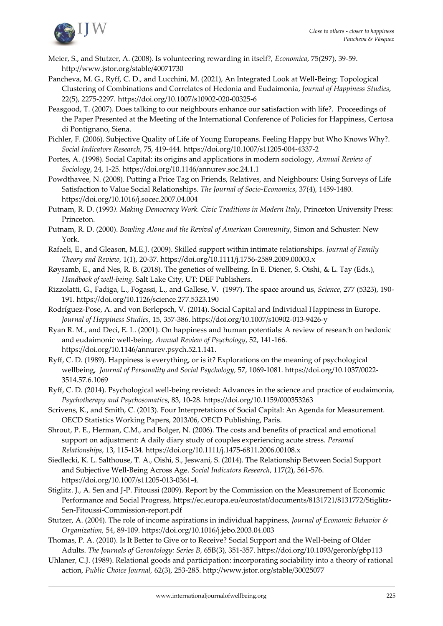

- Meier, S., and Stutzer, A. (2008). Is volunteering rewarding in itself?, *Economica*, 75(297), 39-59. <http://www.jstor.org/stable/40071730>
- Pancheva, M. G., Ryff, C. D., and Lucchini, M. (2021), [An Integrated Look at Well-Being: Topological](https://ideas.repec.org/a/spr/jhappi/v22y2021i5d10.1007_s10902-020-00325-6.html)  [Clustering of Combinations and Correlates of Hedonia and Eudaimonia,](https://ideas.repec.org/a/spr/jhappi/v22y2021i5d10.1007_s10902-020-00325-6.html) *[Journal of Happiness Studies](https://ideas.repec.org/s/spr/jhappi.html)*, 22(5), 2275-2297. <https://doi.org/10.1007/s10902-020-00325-6>
- Peasgood, T. (2007). Does talking to our neighbours enhance our satisfaction with life?. Proceedings of the Paper Presented at the Meeting of the International Conference of Policies for Happiness, Certosa di Pontignano, Siena.
- Pichler, F. (2006). Subjective Quality of Life of Young Europeans. Feeling Happy but Who Knows Why?. *Social Indicators Research*, 75, 419-444.<https://doi.org/10.1007/s11205-004-4337-2>
- Portes, A. (1998). Social Capital: its origins and applications in modern sociology, *Annual Review of Sociology*, 24, 1-25. <https://doi.org/10.1146/annurev.soc.24.1.1>
- Powdthavee, N. (2008). Putting a Price Tag on Friends, Relatives, and Neighbours: Using Surveys of Life Satisfaction to Value Social Relationships. *The Journal of Socio-Economics*, 37(4), 1459-148[0.](https://doi.org/10.1016/j.socec.2007.04.004) <https://doi.org/10.1016/j.socec.2007.04.004>
- Putnam, R. D. (1993*). Making Democracy Work. Civic Traditions in Modern Italy*, Princeton University Press: Princeton.
- Putnam, R. D. (2000). *Bowling Alone and the Revival of American Community*, Simon and Schuster: New York.
- Rafaeli, E., and Gleason, M.E.J. (2009). Skilled support within intimate relationships. *Journal of Family Theory and Review*, 1(1), 20-37. <https://doi.org/10.1111/j.1756-2589.2009.00003.x>
- Røysamb, E., and Nes, R. B. (2018). The genetics of wellbeing. In E. Diener, S. Oishi, & L. Tay (Eds.), *Handbook of well-being*. Salt Lake City, UT: DEF Publishers.
- Rizzolatti, G., Fadiga, L., Fogassi, L., and Gallese, V. (1997). The space around us, *Science*, 277 (5323), 190- 191. https://doi.org/10.1126/science.277.5323.190
- Rodríguez-Pose, A. and von Berlepsch, V. (2014). Social Capital and Individual Happiness in Europe. *Journal of Happiness Studies*, 15, 357-386. https://doi.org/10.1007/s10902-013-9426-y
- Ryan R. M., and Deci, E. L. (2001). On happiness and human potentials: A review of research on hedonic and eudaimonic well-being. *Annual Review of Psychology*, 52, 141-166. https://doi.org/10.1146/annurev.psych.52.1.141.
- Ryff, C. D. (1989). Happiness is everything, or is it? Explorations on the meaning of psychological wellbeing, *Journal of Personality and Social Psychology,* 57, 1069-1081. https://doi.org[/10.1037/0022-](https://psycnet.apa.org/doi/10.1037/0022-3514.57.6.1069) [3514.57.6.1069](https://psycnet.apa.org/doi/10.1037/0022-3514.57.6.1069)
- Ryff, C. D. (2014). Psychological well-being revisted: Advances in the science and practice of eudaimonia, *Psychotherapy and Psychosomatic*s, 83, 10-28. <https://doi.org/10.1159/000353263>
- Scrivens, K., and Smith, C. (2013). Four Interpretations of Social Capital: An Agenda for Measurement. OECD Statistics Working Papers, 2013/06, OECD Publishing, Paris.
- Shrout, P. E., Herman, C.M., and Bolger, N. (2006). The costs and benefits of practical and emotional support on adjustment: A daily diary study of couples experiencing acute stress. *Personal Relationships*, 13, 115-134. https://doi.org[/10.1111/j.1475-6811.2006.00108.x](http://dx.doi.org/10.1111/j.1475-6811.2006.00108.x)
- Siedlecki, K. L. Salthouse, T. A., Oishi, S., Jeswani, S. (2014). The Relationship Between Social Support and Subjective Well-Being Across Age. *Social Indicators Research*, 117(2), 561-576. https://doi.org/10.1007/s11205-013-0361-4.
- Stiglitz. J., A. Sen and J-P. Fitoussi (2009). Report by the Commission on the Measurement of Economic Performance and Social Progress, [https://ec.europa.eu/eurostat/documents/8131721/8131772/Stiglitz-](https://ec.europa.eu/eurostat/documents/8131721/8131772/Stiglitz-Sen-Fitoussi-Commission-report.pdf)[Sen-Fitoussi-Commission-report.pdf](https://ec.europa.eu/eurostat/documents/8131721/8131772/Stiglitz-Sen-Fitoussi-Commission-report.pdf)
- Stutzer, A. (2004). The role of income aspirations in individual happiness, *Journal of Economic Behavior & Organization,* 54, 89-109[. https://doi.org/10.1016/j.jebo.2003.04.003](https://doi.org/10.1016/j.jebo.2003.04.003)
- Thomas, P. A. (2010). Is It Better to Give or to Receive? Social Support and the Well-being of Older Adults. *The Journals of Gerontology: Series B*, 65B(3), 351-357. https://doi.org/10.1093/geronb/gbp113
- Uhlaner, C.J. (1989). Relational goods and participation: incorporating sociability into a theory of rational action, *Public Choice Journal,* 62(3), 253-285[. http://www.jstor.org/stable/30025077](http://www.jstor.org/stable/30025077)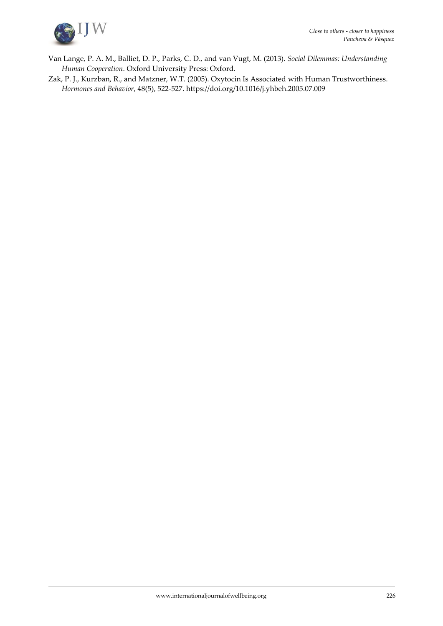

- Van Lange, P. A. M., Balliet, D. P., Parks, C. D., and van Vugt, M. (2013). *Social Dilemmas: Understanding Human Cooperation*. Oxford University Press: Oxford.
- Zak, P. J., Kurzban, R., and Matzner, W.T. (2005). Oxytocin Is Associated with Human Trustworthiness. *Hormones and Behavior*, 48(5), 522-527.<https://doi.org/10.1016/j.yhbeh.2005.07.009>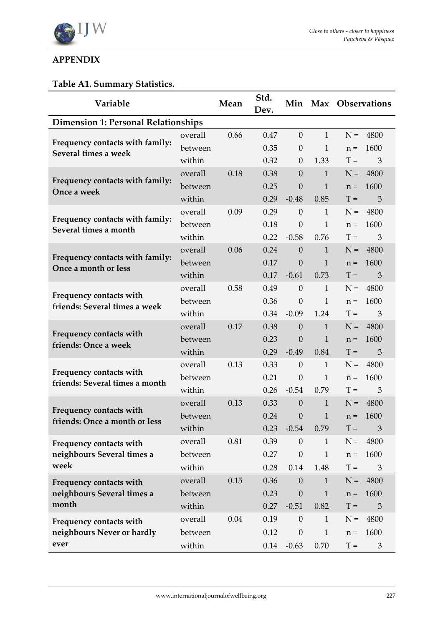

# **APPENDIX**

# **Table A1. Summary Statistics.**

| Variable                                                 |         | Mean | Std.<br>Dev. |                  |              | Min Max Observations |                |
|----------------------------------------------------------|---------|------|--------------|------------------|--------------|----------------------|----------------|
| <b>Dimension 1: Personal Relationships</b>               |         |      |              |                  |              |                      |                |
|                                                          | overall | 0.66 | 0.47         | $\overline{0}$   | $\mathbf{1}$ | $N =$                | 4800           |
| Frequency contacts with family:<br>Several times a week  | between |      | 0.35         | $\boldsymbol{0}$ | 1            | $n =$                | 1600           |
|                                                          | within  |      | 0.32         | $\theta$         | 1.33         | $T =$                | 3              |
|                                                          | overall | 0.18 | 0.38         | $\theta$         | $\mathbf{1}$ | $N =$                | 4800           |
| Frequency contacts with family:<br>Once a week           | between |      | 0.25         | $\theta$         | 1            | $n =$                | 1600           |
|                                                          | within  |      | 0.29         | $-0.48$          | 0.85         | $T =$                | 3              |
|                                                          | overall | 0.09 | 0.29         | $\theta$         | 1            | $N =$                | 4800           |
| Frequency contacts with family:<br>Several times a month | between |      | 0.18         | $\theta$         | 1            | $n =$                | 1600           |
|                                                          | within  |      | 0.22         | $-0.58$          | 0.76         | $T =$                | 3              |
| Frequency contacts with family:                          | overall | 0.06 | 0.24         | $\overline{0}$   | $\mathbf{1}$ | $N =$                | 4800           |
| Once a month or less                                     | between |      | 0.17         | $\theta$         | $\mathbf{1}$ | $n =$                | 1600           |
|                                                          | within  |      | 0.17         | $-0.61$          | 0.73         | $T =$                | 3              |
| Frequency contacts with                                  | overall | 0.58 | 0.49         | $\theta$         | $\mathbf{1}$ | $N =$                | 4800           |
| friends: Several times a week                            | between |      | 0.36         | $\theta$         | 1            | $n =$                | 1600           |
|                                                          | within  |      | 0.34         | $-0.09$          | 1.24         | $T =$                | 3              |
| Frequency contacts with                                  | overall | 0.17 | 0.38         | $\mathbf{0}$     | $\mathbf{1}$ | $N =$                | 4800           |
| friends: Once a week                                     | between |      | 0.23         | $\theta$         | $\mathbf{1}$ | $n =$                | 1600           |
|                                                          | within  |      | 0.29         | $-0.49$          | 0.84         | $T =$                | 3              |
| Frequency contacts with                                  | overall | 0.13 | 0.33         | $\theta$         | $\mathbf{1}$ | $N =$                | 4800           |
| friends: Several times a month                           | between |      | 0.21         | $\boldsymbol{0}$ | $\mathbf{1}$ | $n =$                | 1600           |
|                                                          | within  |      | 0.26         | $-0.54$          | 0.79         | $T =$                | 3              |
| Frequency contacts with                                  | overall | 0.13 | 0.33         | $\boldsymbol{0}$ | $\mathbf{1}$ | $N =$                | 4800           |
| friends: Once a month or less                            | between |      | 0.24         | $\theta$         | $\mathbf{1}$ | $n =$                | 1600           |
|                                                          | within  |      | 0.23         | $-0.54$          | 0.79         | $T =$                | $\mathfrak{Z}$ |
| Frequency contacts with                                  | overall | 0.81 | 0.39         | $\theta$         | $\mathbf{1}$ | $N =$                | 4800           |
| neighbours Several times a                               | between |      | 0.27         | $\boldsymbol{0}$ | $\mathbf{1}$ | $n =$                | 1600           |
| week                                                     | within  |      | 0.28         | 0.14             | 1.48         | $T =$                | 3              |
| Frequency contacts with                                  | overall | 0.15 | 0.36         | $\theta$         | $\mathbf{1}$ | $N =$                | 4800           |
| neighbours Several times a                               | between |      | 0.23         | $\theta$         | 1            | $n =$                | 1600           |
| month                                                    | within  |      | 0.27         | $-0.51$          | 0.82         | $T =$                | 3              |
| Frequency contacts with                                  | overall | 0.04 | 0.19         | $\boldsymbol{0}$ | 1            | $N =$                | 4800           |
| neighbours Never or hardly                               | between |      | 0.12         | $\boldsymbol{0}$ | 1            | $n =$                | 1600           |
| ever                                                     | within  |      | 0.14         | $-0.63$          | 0.70         | $T =$                | $\mathfrak{Z}$ |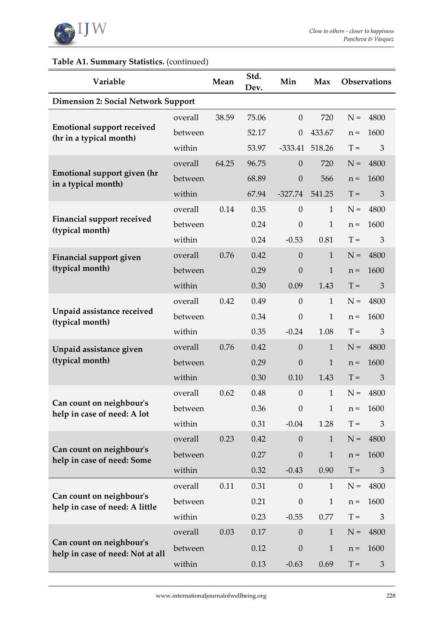

# **Table A1. Summary Statistics.** (continued)

| Variable                                                     |         | Mean  | Std.<br>Dev. | Min              | Max          |       | <b>Observations</b> |
|--------------------------------------------------------------|---------|-------|--------------|------------------|--------------|-------|---------------------|
| <b>Dimension 2: Social Network Support</b>                   |         |       |              |                  |              |       |                     |
|                                                              | overall | 38.59 | 75.06        | $\theta$         | 720          | $N =$ | 4800                |
| <b>Emotional support received</b><br>(hr in a typical month) | between |       | 52.17        | $\theta$         | 433.67       | $n =$ | 1600                |
|                                                              | within  |       | 53.97        | $-333.41$        | 518.26       | $T =$ | 3                   |
|                                                              | overall | 64.25 | 96.75        | $\theta$         | 720          | $N =$ | 4800                |
| <b>Emotional support given (hr</b><br>in a typical month)    | between |       | 68.89        | $\mathbf{0}$     | 566          | $n =$ | 1600                |
|                                                              | within  |       | 67.94        | $-327.74$        | 541.25       | $T =$ | 3                   |
|                                                              | overall | 0.14  | 0.35         | $\theta$         | $\mathbf{1}$ | $N =$ | 4800                |
| <b>Financial support received</b><br>(typical month)         | between |       | 0.24         | $\theta$         | $\mathbf{1}$ | $n =$ | 1600                |
|                                                              | within  |       | 0.24         | $-0.53$          | 0.81         | $T =$ | 3                   |
| <b>Financial support given</b>                               | overall | 0.76  | 0.42         | $\theta$         | $\mathbf{1}$ | $N =$ | 4800                |
| (typical month)                                              | between |       | 0.29         | $\overline{0}$   | $\mathbf{1}$ | $n =$ | 1600                |
|                                                              | within  |       | 0.30         | 0.09             | 1.43         | $T =$ | 3                   |
|                                                              | overall | 0.42  | 0.49         | $\theta$         | $\mathbf{1}$ | $N =$ | 4800                |
| Unpaid assistance received<br>(typical month)                | between |       | 0.34         | $\theta$         | $\mathbf{1}$ | $n =$ | 1600                |
|                                                              | within  |       | 0.35         | $-0.24$          | 1.08         | $T =$ | 3                   |
| Unpaid assistance given                                      | overall | 0.76  | 0.42         | $\mathbf{0}$     | $\mathbf{1}$ | $N =$ | 4800                |
| (typical month)                                              | between |       | 0.29         | $\theta$         | $\mathbf{1}$ | $n =$ | 1600                |
|                                                              | within  |       | 0.30         | 0.10             | 1.43         | $T =$ | 3                   |
|                                                              | overall | 0.62  | 0.48         | $\boldsymbol{0}$ | $\mathbf{1}$ | $N =$ | 4800                |
| Can count on neighbour's<br>help in case of need: A lot      | between |       | 0.36         | $\theta$         | $\mathbf{1}$ | $n =$ | 1600                |
|                                                              | within  |       | 0.31         | $-0.04$          | 1.28         | $T =$ | 3                   |
| Can count on neighbour's                                     | overall | 0.23  | 0.42         | $\theta$         | $\mathbf{1}$ | $N =$ | 4800                |
| help in case of need: Some                                   | between |       | 0.27         | $\theta$         | $\mathbf{1}$ | $n =$ | 1600                |
|                                                              | within  |       | 0.32         | $-0.43$          | 0.90         | $T =$ | $\mathfrak{Z}$      |
| Can count on neighbour's                                     | overall | 0.11  | 0.31         | $\theta$         | $\mathbf{1}$ | $N =$ | 4800                |
| help in case of need: A little                               | between |       | 0.21         | $\theta$         | $\mathbf{1}$ | $n =$ | 1600                |
|                                                              | within  |       | 0.23         | $-0.55$          | 0.77         | $T =$ | 3                   |
|                                                              | overall | 0.03  | 0.17         | $\boldsymbol{0}$ | $\mathbf{1}$ | $N =$ | 4800                |
| Can count on neighbour's<br>help in case of need: Not at all | between |       | 0.12         | $\boldsymbol{0}$ | $\mathbf{1}$ | $n =$ | 1600                |
|                                                              | within  |       | 0.13         | $-0.63$          | 0.69         | $T =$ | $\mathfrak{Z}$      |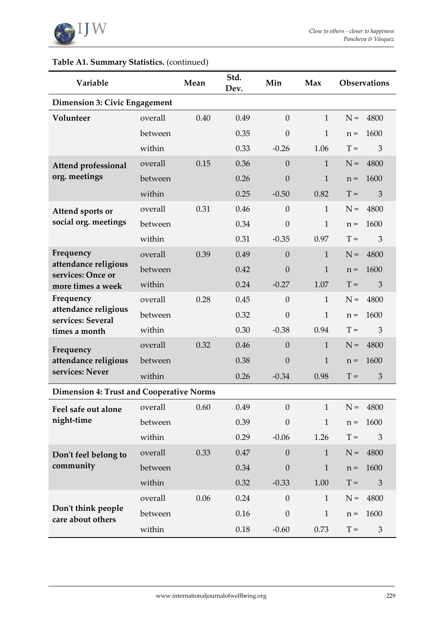

# **Table A1. Summary Statistics.** (continued)

| Variable                                        |         | Mean | Std.<br>Dev. | Min              | Max          |       | <b>Observations</b> |
|-------------------------------------------------|---------|------|--------------|------------------|--------------|-------|---------------------|
| <b>Dimension 3: Civic Engagement</b>            |         |      |              |                  |              |       |                     |
| Volunteer                                       | overall | 0.40 | 0.49         | $\theta$         | $\mathbf{1}$ | $N =$ | 4800                |
|                                                 | between |      | 0.35         | $\theta$         | $\mathbf{1}$ | $n =$ | 1600                |
|                                                 | within  |      | 0.33         | $-0.26$          | 1.06         | $T =$ | 3                   |
| <b>Attend professional</b>                      | overall | 0.15 | 0.36         | $\theta$         | $\mathbf{1}$ | $N =$ | 4800                |
| org. meetings                                   | between |      | 0.26         | $\overline{0}$   | $\mathbf{1}$ | $n =$ | 1600                |
|                                                 | within  |      | 0.25         | $-0.50$          | 0.82         | $T =$ | 3                   |
| Attend sports or                                | overall | 0.31 | 0.46         | $\theta$         | $\mathbf{1}$ | $N =$ | 4800                |
| social org. meetings                            | between |      | 0.34         | $\theta$         | $\mathbf{1}$ | $n =$ | 1600                |
|                                                 | within  |      | 0.31         | $-0.35$          | 0.97         | $T =$ | 3                   |
| Frequency                                       | overall | 0.39 | 0.49         | $\theta$         | $\mathbf{1}$ | $N =$ | 4800                |
| attendance religious<br>services: Once or       | between |      | 0.42         | $\theta$         | $\mathbf{1}$ | $n =$ | 1600                |
| more times a week                               | within  |      | 0.24         | $-0.27$          | 1.07         | $T =$ | 3                   |
| Frequency                                       | overall | 0.28 | 0.45         | $\theta$         | $\mathbf{1}$ | $N =$ | 4800                |
| attendance religious<br>services: Several       | between |      | 0.32         | $\theta$         | $\mathbf{1}$ | $n =$ | 1600                |
| times a month                                   | within  |      | 0.30         | $-0.38$          | 0.94         | $T =$ | 3                   |
| Frequency                                       | overall | 0.32 | 0.46         | $\theta$         | $\mathbf{1}$ | $N =$ | 4800                |
| attendance religious                            | between |      | 0.38         | $\mathbf{0}$     | $\mathbf{1}$ | $n =$ | 1600                |
| services: Never                                 | within  |      | 0.26         | $-0.34$          | 0.98         | $T =$ | 3                   |
| <b>Dimension 4: Trust and Cooperative Norms</b> |         |      |              |                  |              |       |                     |
| Feel safe out alone                             | overall | 0.60 | 0.49         | $\theta$         | $\mathbf{1}$ | $N =$ | 4800                |
| night-time                                      | between |      | 0.39         | $\boldsymbol{0}$ | $\mathbf{1}$ | $n =$ | 1600                |
|                                                 | within  |      | 0.29         | $-0.06$          | 1.26         | $T =$ | 3                   |
| Don't feel belong to                            | overall | 0.33 | 0.47         | $\theta$         | $\mathbf{1}$ | $N =$ | 4800                |
| community                                       | between |      | 0.34         | $\boldsymbol{0}$ | $\mathbf{1}$ | $n =$ | 1600                |
|                                                 | within  |      | 0.32         | $-0.33$          | 1.00         | $T =$ | 3                   |
|                                                 | overall | 0.06 | 0.24         | $\theta$         | $\mathbf{1}$ | $N =$ | 4800                |
| Don't think people<br>care about others         | between |      | 0.16         | $\theta$         | $\mathbf{1}$ | $n =$ | 1600                |
|                                                 | within  |      | 0.18         | $-0.60$          | 0.73         | $T =$ | $\mathfrak{Z}$      |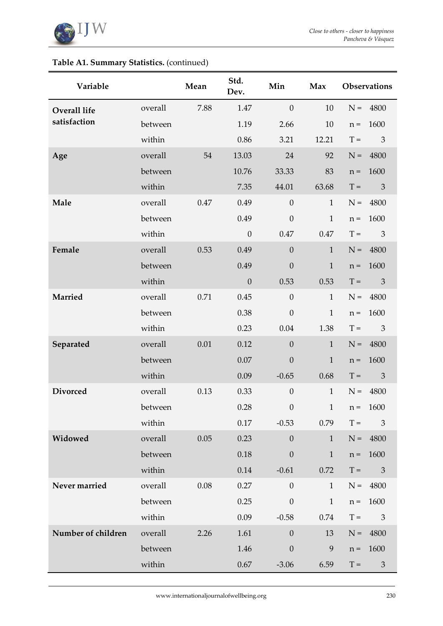

# **Table A1. Summary Statistics.** (continued)

| Variable            |         | Mean                 | Std.<br>Dev. | Min              | Max          |       | Observations                |
|---------------------|---------|----------------------|--------------|------------------|--------------|-------|-----------------------------|
| <b>Overall life</b> | overall | 7.88                 | 1.47         | $\boldsymbol{0}$ | 10           | $N =$ | 4800                        |
| satisfaction        | between |                      | 1.19         | 2.66             | 10           | $n =$ | 1600                        |
|                     | within  |                      | 0.86         | 3.21             | 12.21        | $T =$ | 3                           |
| Age                 | overall | 54                   | 13.03        | 24               | 92           | $N =$ | 4800                        |
|                     | between |                      | 10.76        | 33.33            | 83           | $n =$ | 1600                        |
|                     | within  |                      | 7.35         | 44.01            | 63.68        | $T =$ | $\mathfrak{Z}$              |
| Male                | overall | 0.49<br>0.47<br>0.49 |              |                  | $\mathbf{1}$ | $N =$ | 4800                        |
|                     | between |                      |              | $\boldsymbol{0}$ | $\mathbf{1}$ | $n =$ | 1600                        |
|                     | within  |                      | $\theta$     | 0.47             | 0.47         | $T =$ | $\mathfrak{Z}$              |
| Female              | overall | 0.53                 | 0.49         | $\boldsymbol{0}$ | $\mathbf{1}$ | $N =$ | 4800                        |
|                     | between |                      | 0.49         | $\boldsymbol{0}$ | $\mathbf{1}$ | $n =$ | 1600                        |
|                     | within  |                      | $\theta$     | 0.53             | 0.53         | $T =$ | 3                           |
| Married             | overall | 0.71                 | 0.45         | $\boldsymbol{0}$ | $\mathbf{1}$ | $N =$ | 4800                        |
|                     | between |                      | 0.38         | $\boldsymbol{0}$ | $\mathbf{1}$ | $n =$ | 1600                        |
|                     | within  |                      | 0.23         | 0.04             | 1.38         | $T =$ | $\mathfrak{Z}$              |
| Separated           | overall | 0.01                 | 0.12         | $\boldsymbol{0}$ | $\mathbf{1}$ | $N =$ | 4800                        |
|                     | between |                      | 0.07         | $\boldsymbol{0}$ | $\mathbf{1}$ | $n =$ | 1600                        |
|                     | within  |                      | 0.09         | $-0.65$          | 0.68         | $T =$ | $\mathfrak{Z}$              |
| <b>Divorced</b>     | overall | 0.13                 | 0.33         | $\boldsymbol{0}$ | $\mathbf{1}$ | $N =$ | 4800                        |
|                     | between |                      | 0.28         | $\boldsymbol{0}$ | 1            | $n =$ | 1600                        |
|                     | within  |                      | $0.17\,$     | $-0.53$          | 0.79         | $T =$ | 3                           |
| Widowed             | overall | 0.05                 | 0.23         | $\boldsymbol{0}$ | $\mathbf{1}$ | $N =$ | 4800                        |
|                     | between |                      | 0.18         | $\boldsymbol{0}$ | $\mathbf{1}$ | $n =$ | 1600                        |
|                     | within  |                      | 0.14         | $-0.61$          | 0.72         | $T =$ | $\mathfrak{Z}$              |
| Never married       | overall | 0.08                 | 0.27         | $\boldsymbol{0}$ | $\mathbf{1}$ |       | $N = 4800$                  |
|                     | between |                      | 0.25         | $\boldsymbol{0}$ | $\mathbf{1}$ | $n =$ | 1600                        |
|                     | within  |                      | 0.09         | $-0.58$          | 0.74         | $T =$ | $\mathfrak{Z}$              |
| Number of children  | overall | 2.26                 | 1.61         | $\theta$         | 13           | $N =$ | 4800                        |
|                     | between |                      | 1.46         | $\boldsymbol{0}$ | 9            | $n =$ | 1600                        |
|                     | within  |                      | $0.67\,$     | $-3.06$          | 6.59         | $T =$ | $\ensuremath{\mathfrak{Z}}$ |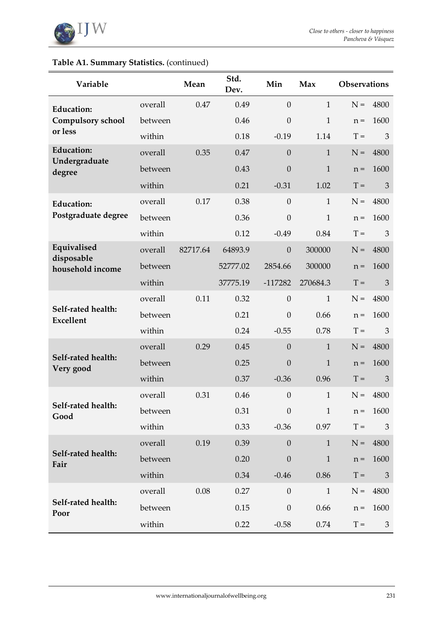

| Table A1. Summary Statistics. (continued) |  |
|-------------------------------------------|--|
|-------------------------------------------|--|

| Variable                               |         | Mean     | Std.<br>Dev. | Min              | Max          | <b>Observations</b> |                |
|----------------------------------------|---------|----------|--------------|------------------|--------------|---------------------|----------------|
| <b>Education:</b>                      | overall | 0.47     | 0.49         | $\theta$         | $\mathbf{1}$ | $N =$               | 4800           |
| <b>Compulsory school</b>               | between |          | 0.46         | $\boldsymbol{0}$ | $\mathbf{1}$ | $n =$               | 1600           |
| or less                                | within  |          | 0.18         | $-0.19$          | 1.14         | $T =$               | 3              |
| <b>Education:</b>                      | overall | 0.35     | 0.47         | $\boldsymbol{0}$ | $\mathbf{1}$ | $N =$               | 4800           |
| Undergraduate<br>degree                | between |          | 0.43         | $\boldsymbol{0}$ | $\mathbf{1}$ | $n =$               | 1600           |
|                                        | within  |          | 0.21         | $-0.31$          | 1.02         | $T =$               | 3              |
| <b>Education:</b>                      | overall | 0.17     | 0.38         | $\mathbf{0}$     | $\mathbf{1}$ | $N =$               | 4800           |
| Postgraduate degree                    | between |          | 0.36         | $\boldsymbol{0}$ | $\mathbf{1}$ | $n =$               | 1600           |
|                                        | within  |          | 0.12         | $-0.49$          | 0.84         | $T =$               | 3              |
| Equivalised                            | overall | 82717.64 | 64893.9      | $\boldsymbol{0}$ | 300000       | $N =$               | 4800           |
| disposable<br>household income         | between |          | 52777.02     | 2854.66          | 300000       | $n =$               | 1600           |
|                                        | within  |          | 37775.19     | $-117282$        | 270684.3     | $T =$               | 3              |
|                                        | overall | 0.11     | 0.32         | $\theta$         | $\mathbf{1}$ | $N =$               | 4800           |
| Self-rated health:<br><b>Excellent</b> | between |          | 0.21         | $\boldsymbol{0}$ | 0.66         | $n =$               | 1600           |
|                                        | within  |          | 0.24         | $-0.55$          | 0.78         | $T =$               | 3              |
|                                        | overall | 0.29     | 0.45         | $\boldsymbol{0}$ | $\mathbf{1}$ | $N =$               | 4800           |
| Self-rated health:<br>Very good        | between |          | 0.25         | $\theta$         | $\mathbf{1}$ | $n =$               | 1600           |
|                                        | within  |          | 0.37         | $-0.36$          | 0.96         | $T =$               | 3              |
|                                        | overall | 0.31     | 0.46         | $\boldsymbol{0}$ | $\mathbf{1}$ | $N =$               | 4800           |
| Self-rated health:<br>Good             | between |          | 0.31         | $\theta$         | $\mathbf{1}$ | $n =$               | 1600           |
|                                        | within  |          | 0.33         | $-0.36$          | 0.97         | $T =$               | 3              |
|                                        | overall | 0.19     | 0.39         | $\boldsymbol{0}$ | $\mathbf{1}$ | $N =$               | 4800           |
| Self-rated health:<br>Fair             | between |          | 0.20         | $\boldsymbol{0}$ | $\mathbf{1}$ | $n =$               | 1600           |
|                                        | within  |          | 0.34         | $-0.46$          | 0.86         | $T =$               | $\mathfrak{Z}$ |
|                                        | overall | 0.08     | 0.27         | $\boldsymbol{0}$ | $\mathbf{1}$ | $N =$               | 4800           |
| Self-rated health:<br>Poor             | between |          | 0.15         | $\boldsymbol{0}$ | 0.66         | $n =$               | 1600           |
|                                        | within  |          | 0.22         | $-0.58$          | 0.74         | $T =$               | 3              |